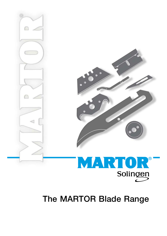

# The MARTOR Blade Range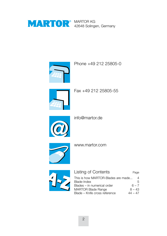

MARTOR KG 42648 Solingen, Germany



Phone +49 212 25805-0



Fax +49 212 25805-55



info@martor.de



www.martor.com



| Listing of Contents                | Page     |
|------------------------------------|----------|
| This is how MARTOR-Blades are made | 4        |
| Blade-Index                        | 5        |
| Blades - in numerical order        | $6 - 7$  |
| <b>MARTOR Blade Range</b>          | $8 - 43$ |
| Blade - Knife cross reference      | 44 – 47  |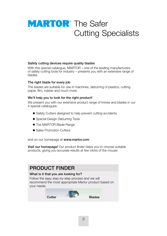# **MARTOR**<sup>®</sup> The Safer Cutting Specialists

#### Safety cutting devices require quality blades

With this special catalogue, MARTOR – one of the leading manufacturers of safety cutting tools for industry - presents you with an extensive range of blades.

#### The right blade for every job

The blades are suitable for use in machines, deburring of plastics, cutting paper, film, rubber and much more.

#### We'll help you to look for the right product!

We present you with our extensive product range of knives and blades in our 4 special catalogues:

- Safety Cutters designed to help prevent cutting accidents
- Special Design Deburring Tools
- The MARTOR Blade Range
- Sales Promotion Cutters

and on our homepage at www.martor.com

Visit our homepage! Our product finder helps you to choose suitable products, giving you accurate results at few clicks of the mouse:

#### **PRODUCT FINDER** What is it that you are looking for? Follow the easy step-by-step process and we will recommend the most appropriate Martor product based on your needs. Cutter **Example 2** Blades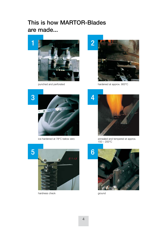### **This is how MARTOR-Blades are made...**



punched and perforated



hardened at approx. 900°C





hardness check ground



ice-hardened at 78°C below zero annealed and tempered at approx. 150 – 200°C

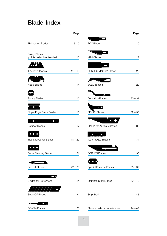#### **Blade-Index**

|                               | Page      |                                     | Page      |
|-------------------------------|-----------|-------------------------------------|-----------|
| <b>TiN-coated Blades</b>      | $8 - 9$   | <b>BOY-Blades</b>                   | 26        |
|                               |           |                                     |           |
| Safety Blades                 |           |                                     |           |
| (points dull or blunt-ended)  | 10        | MINI-Blades                         | 27        |
|                               |           |                                     |           |
| <b>Trapezoid Blades</b>       | $11 - 13$ | RONDEX-MASSIV-Blades                | 28        |
|                               |           |                                     |           |
| <b>Hook Blades</b>            | 14        | SOLO-Blades                         | 29        |
|                               |           |                                     |           |
|                               |           | M HENNIN                            |           |
| Rotary Blades                 | 15        | Deburring-Blades                    | $30 - 31$ |
| n                             |           | $\cdot$ $\bullet$                   |           |
| Single Edge Razor Blades      | 16        | SICURI-Blades                       | $32 - 33$ |
|                               |           |                                     |           |
| $\bullet$<br>$\bullet$        |           | $\bullet$                           |           |
| <b>Scraper Blades</b>         | 17        | <b>Blades for Acrylic Materials</b> | 33        |
| $\bullet$ $\bullet$           |           | ø<br>$\bullet$                      |           |
| Industrial Cutter Blades      | $18 - 20$ | Teeth-edged Blades                  | 34        |
| $\bullet\bullet\bullet$       |           |                                     |           |
| Glass Cleaning Blades         | 21        | ROBUST-Blades                       | 35        |
|                               |           |                                     |           |
|                               |           |                                     |           |
| Scalpel Blades                | $22 - 23$ | Special Purpose Blades              | $36 - 39$ |
| $\sim$ $\sim$ $\sim$ $\sim$   |           |                                     |           |
| <b>Blades for Polystyrene</b> | 24        | <b>Stainless Steel Blades</b>       | $40 - 42$ |
|                               |           |                                     |           |
| Snap-Off Blades               | 24        | <b>Strip Steel</b>                  | 43        |
|                               |           |                                     |           |
| O                             |           |                                     |           |
| <b>GRAFIX-Blades</b>          | 25        | Blade - Knife cross reference       | $44 - 47$ |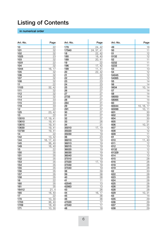# **Listing of Contents**

#### **in numerical order**

| Art.-No. | Page                 |
|----------|----------------------|
| 10       | $\overline{22}$      |
| 101      | 32                   |
| 102      | 32                   |
| 1025     | 23                   |
| 103      |                      |
|          | 32                   |
| 1031     | 22                   |
| 104      | 32                   |
| 1044     | 16,<br>17            |
| 105      | 32                   |
| 106      | 32                   |
| 107      | 32                   |
| 108      | 32                   |
| 11       | 22                   |
| 1103     | 32,<br>42            |
| 111      | 32                   |
| 112      | 32                   |
| 113      | 32                   |
| 114      | 33                   |
| 115      | <u>33</u>            |
| 119      | 33                   |
| 12       | 22                   |
| 125      | 23,<br>42            |
| 13       | 22                   |
| 13510    | 17, 19,<br>41        |
| 13610    | 19,<br>41            |
| 13615    | 19, 41               |
| 13630    | 19,<br>41            |
| 13730    | 41                   |
| 14       | 19,<br>22            |
|          |                      |
| 142      | 13,<br>42            |
| 144      | 40<br>16,<br>17,     |
| 145      | 36, 40               |
| 149      | 16, 40               |
| 15       | 22                   |
| 150      | 35                   |
| 151      | 35                   |
| 152      | 35                   |
| 153      | 35                   |
| 154      | 35                   |
| 155      | 35                   |
| 156      | 35                   |
| 157      | 35                   |
| 158      | 35                   |
| 16       | 22                   |
| 160      | 35                   |
| 161      | 35                   |
| 16412    | 21, 4                |
| 165      | 40<br>18,            |
| 17       | 22                   |
| 170      | 30<br>$10_{1}$       |
| 1703     | 36,<br>40            |
| 1709     | 18, 40               |
| 171      | 30<br>$\frac{10}{1}$ |
|          |                      |

| Art.-No.       | Page                       |
|----------------|----------------------------|
| 179            | 24, 42                     |
| 17940          | 24,<br>37,<br>41           |
| 18             | 22.<br>42                  |
| 180            | 18, 40                     |
| 189            | 20, 41                     |
| 19             | 22                         |
| 196            | $\overline{17}$ ,<br>42    |
| 199            | 41<br>11<br>$\overline{ }$ |
| 20             | 22, 42                     |
| 21             | 22                         |
| 22             | 23                         |
| 23             | 23                         |
| 24             | 23                         |
| 25             | 23                         |
| 26             | 27                         |
| 27             | 27                         |
| 2733           | $\overline{27}$            |
| 28             | 27                         |
| 284            | 31                         |
| 29             | 27                         |
| 291            | 37                         |
| 30             | 27                         |
| 31             | 27                         |
| 32             | 37                         |
| 33             | 26                         |
| 34             | 31                         |
| 35010          | 17,<br>19                  |
| 35020<br>35030 | 19                         |
| 36             | 19                         |
| 36010          | 23                         |
| 36013          | 19<br>19                   |
| 36015          | 19                         |
| 36020          | 19                         |
| 36030          | 19                         |
| 36040          | 19                         |
| 37010          | 19                         |
| 37020          | 17,<br>19                  |
| 37030          | 19                         |
| 37040          | 19                         |
| 38             | 39                         |
| 39             | 38                         |
| 40             | 38                         |
| 41             | 11                         |
| 42045          | 13                         |
| 42063          | 13                         |
| 43             | 26                         |
| 44             | 17<br>16,                  |
| 45             | 36                         |
| 46             | 36                         |
| 47020          | 17                         |
| 47040          | 17                         |
| 48             | 18                         |

| Art.-No. | Page             |
|----------|------------------|
| 49       | 16               |
| 50       | 11               |
| 51       | 12               |
| 5132     | $\frac{12}{2}$   |
| 52       | 11               |
| 5232     | 11               |
| 5233     | 11               |
| 53       | 13               |
| 54       | $\overline{12}$  |
| 54045    | 12               |
| 54065    | $\frac{12}{2}$   |
| 55       | 14               |
| 56       | 14               |
| 5634     | 14<br>10,        |
| 57       | 14               |
| 58       | 14               |
| 58050    | 14               |
| 58065    | 14               |
| 60       | 14               |
| 60044    | 10,<br>16,<br>17 |
| 60099    | 10,<br>11        |
| 601      |                  |
| 602      | 30               |
|          | <u>30</u>        |
| 604      | 30               |
| 605      | 31               |
| 606      | 10,<br>31        |
| 607      | 12               |
| 608      | 12               |
| 609      | 11               |
| 61       | 12               |
| 610      | 11,<br>40        |
| 611      | $\overline{12}$  |
| 612      | 13               |
| 6132     | ī <sub>2</sub>   |
| 61329    | 12               |
| 614      | 13               |
| 615      | 28               |
| 616      | 26               |
| 618      | 28               |
| 619      | 28               |
| 62       | 33               |
| 622      | 28               |
| 623      | 28               |
| 624      | 28               |
| 625      | 28               |
| 626      | 28               |
| 628      | 28               |
| 629      | 10,<br>31        |
| 63       | 14               |
| 635      | 29               |
| 636      | 29               |
| 637      | 29               |
| 638      | 29               |
|          |                  |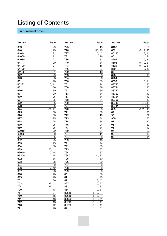# **Listing of Contents**

#### **in numerical order**

| Art.-No. | Page              |
|----------|-------------------|
| 639      | 29                |
| 640      | $\overline{29}$   |
| 64044    | 21                |
| 64060    | 21                |
| 64080    | $\overline{21}$   |
| 641      |                   |
| 64100    | 29<br>21          |
|          |                   |
| 64120    | 21                |
| 64150    | 21                |
| 642      | 29                |
| 643      | 38                |
| 65       | 18                |
| 65232    | 10,<br>11         |
| 66       | 36                |
| 6604     | 30                |
| 67       | 20                |
| 670      | 25                |
| 671      | 25                |
| 672      | 25                |
| 673      | 25                |
| 674      | 31<br>41          |
| 675      | 38                |
| 676      | 38                |
| 677      | 25                |
| 678      | $\overline{25}$   |
| 679      | 25                |
| 680      | $\overline{25}$   |
| 68010    | 20                |
| 68020    | 20                |
| 681      | 25                |
| 682      | 25                |
| 683      | 25                |
| 684      | 38                |
| 689      | 20,<br>41         |
| 69040    | 18<br>10 <u>,</u> |
| 69200    | 18                |
| 692      | 36                |
| 693      | 38                |
| 694      | 39                |
| 696      | 17,<br>42         |
| 697      | 28                |
| 698      | 28                |
| 699      | 28                |
| 70       | 36                |
| 702      | 37,<br>41         |
| 704      | 37,<br>41         |
| 709      | 18                |
| 71       | 24                |
| 710      | 18                |
| 711      | 18                |
| 712      | 18                |
| 716      | 15,<br>42         |
| 72       | 26                |

|       | טי              |
|-------|-----------------|
| 725   | 15              |
| 726   | 36,<br>40       |
| 727   | 15,<br>42       |
| 73    |                 |
|       | 26              |
| 736   | 37              |
| 740   | $\frac{34}{5}$  |
| 743   | 16              |
| 746   | 37              |
| 752   | 13              |
| 753   | 38              |
| 754   | 36              |
| 756   | 30              |
| 76    | 24              |
| 760   | 39              |
| 761   | 39              |
|       |                 |
| 763   | 34              |
| 767   | 34              |
| 768   | 34              |
| 769   | 34              |
| 77    | 24              |
| 770   | 38              |
| 771   | 38              |
| 772   | 18              |
| 773   | 34              |
| 774   | $\overline{34}$ |
| 776   | 24              |
| 777   | 34              |
| 779   | 24              |
| 78    | 11              |
| 784   | 38              |
| 789   | 18,<br>40       |
| 79    | 24              |
| 791   | 30              |
| 793   |                 |
| 794   | 37              |
| 7940  | 37              |
|       | 37<br>24,       |
| 795   | 30              |
| 796   | 30              |
| 797   | 30              |
| 798   | 30              |
| 799   | 30              |
| 80    | 36              |
| 81    | 20              |
| 82    | 13,<br>42       |
| 827   | 27<br>9,        |
| 83    | 31              |
| 834   | 31<br>9,        |
| 83515 | 8,<br>19,<br>41 |
| 83615 | 19,<br>41<br>8, |
| 83630 | 41<br>8,<br>19, |
| 83715 | 41<br>19.<br>8, |
| 83730 | 41<br>19,<br>8, |
| 84    | .<br>31         |
|       |                 |

| Art.-No. | Page            | Art.-No. | Page            | Art.-No. | Page            |
|----------|-----------------|----------|-----------------|----------|-----------------|
| 639      | 29              | 725      | 15              | 8432     | 31              |
| 640      | 29              | 726      | 36, 40          | 852      | 8, 11, 40       |
| 64044    | $\overline{21}$ | 727      | 15, 42          | 85233    | 8, 11           |
| 64060    | $\overline{21}$ | 73       | 26              | 86       | 24              |
| 64080    | 21              | 736      | 37              | 8605     | 9, 31           |
| 641      | 29              | 740      | 34              | 8606     | 9, 10, 31       |
| 64100    | 21              | 743      | 16              | 8629     | 9, 10, 31       |
| 64120    | 21              | 746      | 37              | 869      | 8, 18           |
| 64150    | 21              | 752      | 13              | 87       | 24              |
| 642      | 29              | 753      | $\overline{38}$ | 878      | 8, 11           |
| 643      | 38              | 754      | 36              | 8784     | 9,38            |
| 65       | 18              | 756      | 30              | 8852     | 8, 11           |
| 65232    | 10, 11          | 76       | 24              | 88720    | 43              |
| 66       | 36              | 760      | 39              | 88721    | $\overline{43}$ |
| 6604     | 30              | 761      | 39              | 88722    | 43              |
| 67       | 20              | 763      | 34              | 88723    | 43              |
| 670      | 25              | 767      | 34              | 88724    | 43              |
| 671      | 25              | 768      | 34              | 88725    | $\overline{43}$ |
| 672      | 25              | 769      | 34              | 88740    | 42, 43          |
| 673      | 25              | 77       | 24              | 88741    | 42, 43          |
| 674      | 31, 41          | 770      | 38              | 889      | 8, 20, 41       |
| 675      | 38              | 771      | 38              | 89       | 20              |
| 676      | 38              | 772      | 18              | 90       | 32              |
| 677      | 25              | 773      | 34              | 900      | $\frac{35}{37}$ |
| 678      | 25              | 774      | 34              | 91       |                 |
| 679      | 25              | 776      | 24              | 95       | $\overline{37}$ |
| 680      | 25              | 777      | 34              | 96       | 17              |
| 68010    | 20              | 779      | 24              | 97       | 36              |
| 68020    | 20              | 78       | 11              | 98       | 14              |
| 681      | $\overline{25}$ | 784      | 38              | 99       | 11              |
| con      | 0E              | 700      | 10 M            |          |                 |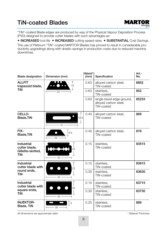### **TiN-coated Blades**



"TiN"-coated Blade edges are produced by way of the Physical Vapour Deposition Process (PVD) designed to provide cutter blades with such advantages as:

• INCREASED tool life • INCREASED cutting speed rates • SUBSTANTIAL Cost Savings.

The use of Platinum "TiN"-coated MARTOR Blades has proved to result in considerable productivity upgradings along with drastic savings in production costs due to reduced machine downtimes.

| <b>Blade designation</b>                                | Dimension (mm)          | Material*<br>(mm) | Specification                                                    | Art.-<br>No. |
|---------------------------------------------------------|-------------------------|-------------------|------------------------------------------------------------------|--------------|
| <b>ALLFIT</b><br>trapezoid blade,                       | Τ<br>19<br>$\mathbf{I}$ | 0.63              | alloyed carbon steel,<br>TiN-coated                              | 8852         |
| TiN                                                     | 53                      | 0.63              | stainless,<br>TiN-coated                                         | 852          |
|                                                         |                         | 0.63              | single bevel edge-ground,<br>alloyed carbon steel,<br>TiN-coated | 85233        |
| CELLO-<br><b>Blade, TiN</b>                             | 18.8<br>57              | 0.40              | alloyed carbon steel,<br>TiN-coated                              | 869          |
| FIX-<br><b>Blade, TiN</b>                               | 8.9<br>∩<br>$29 -$      | 0.45              | alloyed carbon steel,<br>TiN-coated                              | 878          |
| Industrial<br>cutter blade,<br>Gillette-slotted,<br>TiN | 22<br>$43 -$            | 0.15              | stainless,<br>TiN-coated                                         | 83515        |
| Industrial<br>cutter blade with                         | 22                      | 0.15              | stainless,<br>TiN-coated                                         | 83615        |
| round ends,<br>TiN                                      | $-43-$                  | 0.30              | stainless,<br>TiN-coated                                         | 83630        |
| Industrial<br>cutter blade with                         | 22                      | 0.15              | stainless,<br>TiN-coated                                         | 83715        |
| square ends,<br>TiN                                     | 43 -                    | 0.30              | stainless.<br>TiN-coated                                         | 83730        |
| <b>INJEKTOR-</b><br>Blade, TiN                          | 8<br>$38 -$             | 0.25              | stainless,<br>TiN-coated                                         | 889          |

All dimensions are approximate data!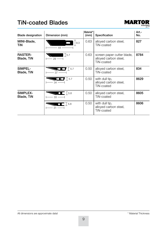#### **TiN-coated Blades**



| <b>Blade designation</b>            | Dimension (mm)                              | Material*<br>(mm) | Specification                                                     | Art -<br>No. |
|-------------------------------------|---------------------------------------------|-------------------|-------------------------------------------------------------------|--------------|
| MINI-Blade,<br>TiN                  | 9.3<br>$44 -$                               | 0.63              | alloyed carbon steel,<br>TiN-coated                               | 827          |
| <b>RASTER-</b><br><b>Blade, TiN</b> | 5.7<br>$-29-$                               | 0.63              | screen paper cutter blade,<br>alloyed carbon steel,<br>TiN-coated | 8784         |
| SIMPEL-<br>Blade, TiN               | 5.7<br>$\overline{\phantom{0}}$<br>$37 -$   | 0.50              | alloyed carbon steel,<br>TiN-coated                               | 834          |
|                                     | $\bullet \bullet \bullet \bullet$<br>$34$ — | 0.50              | with dull tip,<br>alloyed carbon steel,<br>TiN-coated             | 8629         |
| SIMPLEX-<br><b>Blade, TiN</b>       | $\Box$ 5.8<br>$33 -$                        | 0.50              | alloyed carbon steel,<br><b>TiN-coated</b>                        | 8605         |
|                                     | 5.8<br>$31 -$                               | 0.50              | with dull tip,<br>alloyed carbon steel,<br>TiN-coated             | 8606         |

All dimensions are approximate data!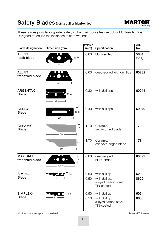# Safety Blades (points dull or blunt-ended)



These blades provide for greater safety in that their points feature dull or blunt-ended tips. Designed to reduce the incidence of stab wounds.

| <b>Blade designation</b>           | Dimension (mm)                               | Material*<br>(mm) | Specification                                         | Art.-<br>No.  |
|------------------------------------|----------------------------------------------|-------------------|-------------------------------------------------------|---------------|
| <b>ALLFIT</b><br>hook blade        | T<br>18.9<br>$\bot$<br>$-51$                 | 0.63              | blunt-ended                                           | 5634<br>(56T) |
| <b>ALLFIT</b><br>trapezoid blade   | Τ<br>19<br>50                                | 0.63              | deep-edged with dull tips                             | 65232         |
| <b>ARGENTAX-</b><br><b>Blade</b>   | 19.4<br>П<br>$-39-$                          | 0.30              | with dull tips                                        | 60044         |
| CELLO-<br><b>Blade</b>             | Τ<br>18.8<br>$\perp$<br>$- 60 -$             | 0.40              | with dull tips                                        | 69040         |
| <b>CERAMIC-</b><br><b>Blade</b>    | Τ<br>15<br>$\mathbf{L}$<br>$-60-$            | 1.70              | Ceramic,<br>semi-curved blade                         | 170           |
|                                    | т<br>15<br>$\bot$<br>$-60 -$                 | 1.70              | Ceramic,<br>concave-edged blade                       | 171           |
| <b>MAXISAFE</b><br>trapezoid blade | Τ<br>19<br>О<br>$\perp$<br>$55.5 -$          | 0.63              | deep-edged,<br>blunt-ended                            | 60099         |
| SIMPEL-                            | $\bullet$ $\bullet$ $\overline{)$ 5.7        | 0.50              | with dull tip                                         | 629           |
| <b>Blade</b>                       | $34 -$                                       | 0.50              | with dull tip,<br>alloyed carbon steel,<br>TiN-coated | 8629          |
| SIMPLEX-                           | $\mathsf{\Xi}$ $\mathbb{I}$ 5.8<br>$\bigcap$ | 0.50              | with dull tip                                         | 606           |
| <b>Blade</b>                       | $-31 -$                                      | 0.50              | with dull tip,<br>alloyed carbon steel,<br>TiN-coated | 8606          |

All dimensions are approximate data!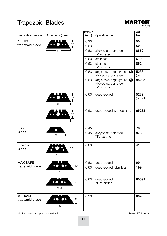# **Trapezoid Blades**



| <b>Blade designation</b>           | Dimension (mm)                             | Material*<br>(mm) | Specification                                                    | Art.-<br>No.   |
|------------------------------------|--------------------------------------------|-------------------|------------------------------------------------------------------|----------------|
| <b>ALLFIT</b>                      | $\top$                                     | 0.30              |                                                                  | 50             |
| trapezoid blade                    | 19<br>$\perp$                              | 0.63              |                                                                  | 52             |
|                                    | 53                                         | 0.63              | alloyed carbon steel,<br>TiN-coated                              | 8852           |
|                                    |                                            | 0.63              | stainless                                                        | 610            |
|                                    |                                            | 0.63              | stainless,<br>TiN-coated                                         | 852            |
|                                    |                                            | 0.63              | single bevel edge-ground, $\bigcirc$<br>alloyed carbon steel     | 5233<br>(52E)  |
|                                    |                                            | 0.63              | single bevel edge-ground,<br>alloyed carbon steel,<br>TiN-coated | 85233          |
|                                    | Τ<br>19<br>$\perp$<br>53                   | 0.63              | deep-edged                                                       | 5232<br>(52BR) |
|                                    | Τ<br>19<br>⊥<br>53                         | 0.63              | deep-edged with dull tips                                        | 65232          |
| FIX-                               | $\top$<br>Э<br>8.9                         | 0.45              |                                                                  | 78             |
| <b>Blade</b>                       | 29                                         | 0.45              | alloyed carbon steel,<br>TiN-coated                              | 878            |
| LEWIS-<br><b>Blade</b>             | Т<br>18.8<br>47 -                          | 0.63              |                                                                  | 41             |
| <b>MAXISAFE</b>                    | Τ                                          | 0.63              | deep-edged                                                       | 99             |
| trapezoid blade                    | 19<br>$\mathbf{I}$<br>60                   | 0.63              | deep-edged, stainless                                            | 199            |
|                                    | Τ<br>19<br>. .<br>$\mathbf{L}$<br>$55.5 -$ | 0.63              | deep-edged,<br>blunt-ended                                       | 60099          |
| <b>MEGASAFE</b><br>trapezoid blade | Τ<br>19<br>T<br>$60 -$                     | 0.30              |                                                                  | 609            |

All dimensions are approximate data!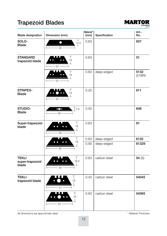# **Trapezoid Blades**



| <b>Blade designation</b>                 | Dimension (mm)                                    | Material*<br>(mm) | Specification | Art.-<br>No.   |
|------------------------------------------|---------------------------------------------------|-------------------|---------------|----------------|
| SOLO-<br><b>Blade</b>                    | $\top$<br>$\bullet$<br>12.5<br>$\mathbf{L}$<br>62 | 0.63              |               | 607            |
| <b>STANDARD</b><br>trapezoid blade       | Τ<br>19<br>⊥<br>$53 -$                            | 0.63              |               | 51             |
|                                          | Τ<br>19<br>$\bot$<br>$-53 -$                      | 0.63              | deep-edged    | 5132<br>(51BR) |
| <b>STRIPEX-</b><br><b>Blade</b>          | $\top$<br>19<br>$\perp$<br>53                     | 0.20              |               | 611            |
| STUDIO-<br><b>Blade</b>                  | $\mathsf{T}$ 7.9<br>$56 -$                        | 0.50              |               | 608            |
| Super-trapezoid-<br>blade                | T<br>19<br>$\mathbb{L}$<br>$60 -$                 | 0.63              |               | 61             |
|                                          | Τ                                                 | 0.63              | deep-edged    | 6132           |
|                                          | 19<br>T<br>$60 -$                                 | 0.90              | deep-edged    | 61329          |
| <b>TEKLI</b><br>super-trapezoid<br>blade | Τ<br>18.9<br>$\perp$<br>$59 -$                    | 0.63              | carbon steel  | 54 $(S)$       |
| <b>TEKLI</b><br>trapezoid blade          | $\mathbb{I}$<br>19<br>$\mathbb{L}$<br>$51 -$      | 0.45              | carbon steel  | 54045          |
|                                          | Τ<br>19<br>53                                     | 0.63              | carbon steel  | 54065          |

All dimensions are approximate data!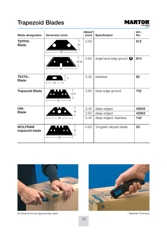# **Trapezoid Blades**



| <b>Blade designation</b>          | Dimension (mm)       | Material*<br>(mm) | Specification                       | Art.-<br>No. |
|-----------------------------------|----------------------|-------------------|-------------------------------------|--------------|
| <b>TEPPIX-</b><br><b>Blade</b>    | 20<br>$60 -$         | 0.50              |                                     | 612          |
|                                   | Τ<br>18.95<br>$60 -$ | 0.63              | single bevel edge-ground $\bigcirc$ | 614          |
| <b>TEXTIL-</b><br><b>Blade</b>    | 9<br>$30 -$          | 0.40              | stainless                           | 82           |
| <b>Trapezoid Blade</b>            | Τ<br>18.8<br>$52 -$  | 0.65              | triple edge ground                  | 752          |
| UNI-                              | Τ                    | 0.45              | deep-edged                          | 42045        |
| <b>Blade</b>                      | 19                   | 0.63              | deep-edged                          | 42063        |
|                                   | 58                   | 0.45              | deep-edged, stainless               | 142          |
| <b>WOLFRAM</b><br>trapezoid blade | Τ<br>19<br>$-53-$    | 0.63              | Tungsten alloyed blade              | 53           |



All dimensions are approximate data!

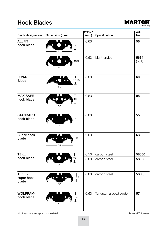### **Hook Blades**



| <b>Blade designation</b>             | Dimension (mm)                     | Material*<br>(mm) | Specification          | Art.-<br>No.  |
|--------------------------------------|------------------------------------|-------------------|------------------------|---------------|
| <b>ALLFIT</b><br>hook blade          | $\top$<br>19<br>$\mathbf{L}$<br>51 | 0.63              |                        | 56            |
|                                      | T<br>18.9<br>$\mathbf{I}$<br>51    | 0.63              | blunt-ended            | 5634<br>(56T) |
| LUNA-<br><b>Blade</b>                | Τ<br>18.95<br>$\perp$<br>59        | 0.63              |                        | 60            |
| <b>MAXISAFE</b><br>hook blade        | Τ<br>19<br>$\mathbf{I}$<br>53      | 0.63              |                        | 98            |
| <b>STANDARD</b><br>hook blade        | T<br>19<br>51                      | 0.63              |                        | 55            |
| Super-hook<br>blade                  | Т<br>19<br>T<br>55                 | 0.63              |                        | 63            |
| <b>TEKLI</b>                         | T                                  | 0.50              | carbon steel           | 58050         |
| hook blade                           | 19<br>$\mathbf{I}$<br>51           | 0.63              | carbon steel           | 58065         |
| <b>TEKLI-</b><br>super hook<br>blade | $\top$<br>18.7<br>┸<br>55          | 0.63              | carbon steel           | 58(S)         |
| <b>WOLFRAM-</b><br>hook blade        | Τ<br>18.9<br>T<br>51               | 0.63              | Tungsten alloyed blade | 57            |

All dimensions are approximate data!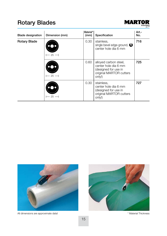# **Rotary Blades**



| <b>Blade designation</b> | Dimension (mm) | Material*<br>(mm) | Specification                                                                                              | Art.-<br>No. |
|--------------------------|----------------|-------------------|------------------------------------------------------------------------------------------------------------|--------------|
| Rotary Blade             | 25             | 0.30              | stainless.<br>single bevel edge-ground, $\bigcirc$<br>center hole dia 6 mm                                 | 716          |
|                          | - 25           | 0.60              | alloyed carbon steel,<br>center hole dia 6 mm<br>(designed for use in<br>original MARTOR cutters<br>only!) | 725          |
|                          | 25             | 0.30              | stainless,<br>center hole dia 6 mm<br>(designed for use in<br>original MARTOR cutters<br>only!)            | 727          |



All dimensions are approximate data!

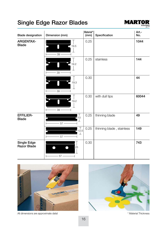# **Single Edge Razor Blades**



| <b>Blade designation</b>         | Dimension (mm)                             | Material*<br>(mm) | Specification             | Art.-<br>No. |
|----------------------------------|--------------------------------------------|-------------------|---------------------------|--------------|
| <b>ARGENTAX-</b><br><b>Blade</b> | 19.5<br>Ï<br>$39 -$                        | 0.25              |                           | 1044         |
|                                  | 19.2<br>$-39-$                             | 0.25              | stainless                 | 144          |
|                                  | 19.3<br>$-39-$                             | 0.30              |                           | 44           |
|                                  | 19.2<br>$39 -$                             | 0.30              | with dull tips            | 60044        |
| <b>EFFILIER-</b><br><b>Blade</b> | Т<br>$\mathsf{F}$ 13<br>$\perp$<br>$-57$ — | 0.25              | thinning blade            | 49           |
|                                  | T<br>$-12.5$<br>$\perp$<br>$-57 -$         | 0.25              | thinning blade, stainless | 149          |
| Single Edge<br>Razor Blade       | 25<br>- 57 -                               | 0.30              |                           | 743          |



All dimensions are approximate data!

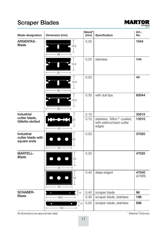# **Scraper Blades**



| <b>Blade designation</b>                              | Dimension (mm)                           | Material*<br>(mm) | Specification                                                   | Art.-<br>No.    |
|-------------------------------------------------------|------------------------------------------|-------------------|-----------------------------------------------------------------|-----------------|
| <b>ARGENTAX-</b><br><b>Blade</b>                      | 19.5<br>$\overline{\phantom{a}}$<br>39   | 0.25              |                                                                 | 1044            |
|                                                       | 19.2<br>39                               | 0.25              | stainless                                                       | 144             |
|                                                       | 19.3<br>$\perp$<br>39                    | 0.30              |                                                                 | 44              |
|                                                       | 19.2<br>39                               | 0.30              | with dull tips                                                  | 60044           |
| Industrial                                            |                                          | 0.10              |                                                                 | 35010           |
| cutter blade,<br>Gillette-slotted                     | 22<br>43 -                               | 0.10              | stainless, Teflon®-coated,<br>with platinumized cutter<br>edges | 13510           |
| <b>Industrial</b><br>cutter blade with<br>square ends | 22<br>43 -                               | 0.20              |                                                                 | 37020           |
| <b>MARTELL-</b><br><b>Blade</b>                       | 22<br>44                                 | 0.20              |                                                                 | 47020           |
|                                                       | 22<br>43                                 | 0.40              | deep-edged                                                      | 47040<br>(47BR) |
| <b>SCHABER-</b>                                       | 14<br>$\bullet$                          | 0.40              | scraper blade                                                   | 96              |
| <b>Blade</b>                                          | $99.5 -$                                 | 0.40              | scraper blade, stainless                                        | 196             |
|                                                       | 14<br>$\bullet$<br>$\bullet$<br>$-100 -$ | 0.50              | scraper blade, stainless                                        | 696             |

All dimensions are approximate data!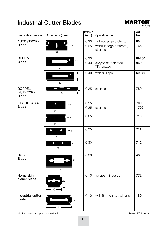#### **Industrial Cutter Blades**



| <b>Blade designation</b>                    | Dimension (mm)                                             | Material*<br>(mm) | Specification                        | Art.-<br>No. |
|---------------------------------------------|------------------------------------------------------------|-------------------|--------------------------------------|--------------|
| AUTOSTROP-                                  | T                                                          | 0.30              | without edge protector               | 65           |
| <b>Blade</b>                                | H<br>18.7<br>$\overline{1}$<br>39                          | 0.25              | without edge protector,<br>stainless | 165          |
| CELLO-                                      | Τ                                                          | 0.20              |                                      | 69200        |
| <b>Blade</b>                                | 18.8<br>$\bot$<br>$-57 -$                                  | 0.40              | alloyed carbon steel,<br>TiN-coated  | 869          |
|                                             | Τ<br>18.8<br>$\perp$<br>$-60-$<br>$\overline{\phantom{0}}$ | 0.40              | with dull tips                       | 69040        |
| DOPPEL-<br><b>INJEKTOR-</b><br><b>Blade</b> | IT 8<br>80                                                 | 0.25              | stainless                            | 789          |
| <b>FIBERGLASS-</b>                          | $\top$<br>$\bullet$<br>7.9                                 | 0.25              |                                      | 709          |
| <b>Blade</b>                                | $\perp$<br>$22 -$                                          | 0.25              | stainless                            | 1709         |
|                                             | $\top$<br>7.9<br>工<br>$-22$                                | 0.65              |                                      | 710          |
|                                             | т<br>$\bullet$<br>$\bullet$<br>7.9<br>工<br>$26 -$          | 0.25              |                                      | 711          |
|                                             | $\frac{1}{8}$<br>$\bullet$<br>$\bullet$<br>38              | 0.30              |                                      | 712          |
| HOBEL-<br><b>Blade</b>                      | 22<br>$-43-$                                               | 0.30              |                                      | 48           |
| Horny skin<br>planer blade                  | 22<br>$-26-$                                               | 0.13              | for use in industry                  | 772          |
| <b>Industrial cutter</b><br>blade           | 19<br>$44 -$                                               | 0.10              | with 6 notches, stainless            | 180          |

All dimensions are approximate data!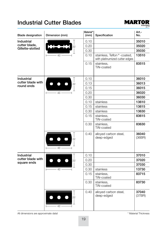#### **Industrial Cutter Blades**



| <b>Blade designation</b> | Dimension (mm)                       | Material*<br>(mm) | Specification                                                | Art.-<br>No.    |
|--------------------------|--------------------------------------|-------------------|--------------------------------------------------------------|-----------------|
| Industrial               |                                      | 0.10              |                                                              | 35010           |
| cutter blade,            | 22                                   | 0.20              |                                                              | 35020           |
| Gillette-slotted         |                                      | 0.30              |                                                              | 35030           |
|                          | 43 -                                 | 0.10              | stainless, Teflon®-coated,<br>with platinumized cutter edges | 13510           |
|                          |                                      | 0.15              | stainless,<br>TiN-coated                                     | 83515           |
| <b>Industrial</b>        |                                      | 0.10              |                                                              | 36010           |
| cutter blade with        | 22                                   | 0.13              |                                                              | 36013           |
| round ends               |                                      | 0.15              |                                                              | 36015           |
|                          | $43 -$<br>$\vdash$<br>$\overline{a}$ | 0.20              |                                                              | 36020           |
|                          |                                      | 0.30              |                                                              | 36030           |
|                          |                                      | 0.10              | stainless                                                    | 13610           |
|                          |                                      | 0.15              | stainless                                                    | 13615           |
|                          |                                      | 0.30              | stainless                                                    | 13630           |
|                          |                                      | 0.15              | stainless,<br>TiN-coated                                     | 83615           |
|                          |                                      | 0.30              | stainless,<br>TiN-coated                                     | 83630           |
|                          | 22<br>$43 -$                         | 0.40              | alloyed carbon steel,<br>deep-edged                          | 36040<br>(36BR) |
| <b>Industrial</b>        |                                      | 0.10              |                                                              | 37010           |
| cutter blade with        | 22                                   | 0.20              |                                                              | 37020           |
| square ends              |                                      | 0.30              |                                                              | 37030           |
|                          | $43 -$                               | 0.30              | stainless                                                    | 13730           |
|                          |                                      | 0.15              | stainless,<br>TiN-coated                                     | 83715           |
|                          |                                      | 0.30              | stainless.<br>TiN-coated                                     | 83730           |
|                          | 22<br>43                             | 0.40              | alloyed carbon steel,<br>deep-edged                          | 37040<br>(37BR) |

All dimensions are approximate data!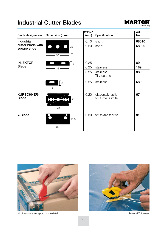#### **Industrial Cutter Blades**



| <b>Blade designation</b>          | Dimension (mm)                                     | Material*<br>(mm) | Specification                            | Art.-<br>No. |
|-----------------------------------|----------------------------------------------------|-------------------|------------------------------------------|--------------|
| <b>Industrial</b>                 |                                                    | 0.10              | short                                    | 68010        |
| cutter blade with<br>square ends  | $\bullet$ $\bullet$<br>22<br>$-38 \longrightarrow$ | 0.20              | short                                    | 68020        |
| <b>INJEKTOR-</b>                  | 8                                                  | 0.25              |                                          | 89           |
| <b>Blade</b>                      | $-38$ —                                            | 0.25              | stainless                                | 189          |
|                                   |                                                    | 0.25              | stainless,<br>TiN-coated                 | 889          |
|                                   | 8<br>$-18 -$                                       | 0.25              | stainless                                | 689          |
| <b>KÜRSCHNER-</b><br><b>Blade</b> | 22<br>$-43-$                                       | 0.20              | diagonally-split,<br>for furrier's knife | 67           |
| Y-Blade                           | 18.8<br>$-39$ —                                    | 0.30              | for textile fabrics                      | 81           |



All dimensions are approximate data!

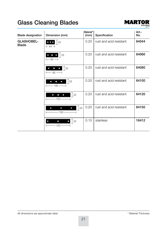# **Glass Cleaning Blades**



| <b>Blade designation</b>          | Dimension (mm)                                                                  | Material*<br>(mm) | Specification           | Art.-<br>No. |
|-----------------------------------|---------------------------------------------------------------------------------|-------------------|-------------------------|--------------|
| <b>GLASHOBEL-</b><br><b>Blade</b> | 22<br>$-44-$                                                                    | 0.20              | rust and acid resistant | 64044        |
|                                   | 22<br>$\overline{\bullet}$ $\bullet$ $\bullet$<br>$\leftarrow$ 60 $\rightarrow$ | 0.20              | rust and acid resistant | 64060        |
|                                   | 22 <br>$\bullet$<br>$\bullet$<br>$-80 \longrightarrow$                          | 0.20              | rust and acid resistant | 64080        |
|                                   | 22<br>$\bullet$<br>$\bullet$<br>$\bullet$<br>$-100 -$                           | 0.20              | rust and acid resistant | 64100        |
|                                   | 22<br>$\bullet$<br>$\bullet$<br>$\bullet$<br>$-120-$                            | 0.20              | rust and acid resistant | 64120        |
|                                   | 22<br>$\bullet$<br>$\bullet$<br>$\bullet$<br>$-150-$                            | 0.20              | rust and acid resistant | 64150        |
|                                   | 22<br>$\bullet$<br>$\Box$<br>$120 -$                                            | 0.15              | stainless               | 16412        |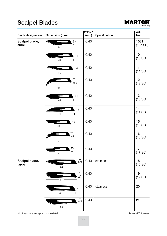# **Scalpel Blades**



| <b>Blade designation</b> | Dimension (mm)                                     | Material*<br>(mm) | Specification | Art.-<br>No.     |
|--------------------------|----------------------------------------------------|-------------------|---------------|------------------|
| Scalpel blade,<br>small  | $\overline{7.6}$<br>39                             | 0.40              |               | 1031<br>(10a SC) |
|                          | 7.1<br>41                                          | 0.40              |               | 10<br>(10 SC)    |
|                          | $\lceil 6 \rceil$<br>$-40-$                        | 0.40              |               | 11<br>(11 SC)    |
|                          | T<br>9.5<br>T<br>$37 -$                            | 0.40              |               | 12<br>(12 SC)    |
|                          | 6.5<br>42                                          | 0.40              |               | 13<br>(13 SC)    |
|                          | $\frac{1}{7.5}$<br>48                              | 0.40              |               | 14<br>(14 SC)    |
|                          | 6.2<br>$38 -$                                      | 0.40              |               | 15<br>(15 SC)    |
|                          | т<br>9.5<br>⊥<br>37 <sup>5</sup>                   | 0.40              |               | 16<br>(16 SC)    |
|                          | 6.2<br>37                                          | 0.40              |               | 17<br>(17 SC)    |
| Scalpel blade,<br>large  | 8.75<br>52                                         | 0.40              | stainless     | 18<br>(18 SC)    |
|                          | $\begin{array}{c} 7 \\ 9.3 \end{array}$<br>$-51 -$ | 0.40              |               | 19<br>(19 SC)    |
|                          | $\top$<br>9<br>$\perp$<br>$-45 -$                  | 0.40              | stainless     | 20               |
|                          | 9.45<br>$-52 -$                                    | 0.40              |               | 21               |

All dimensions are approximate data!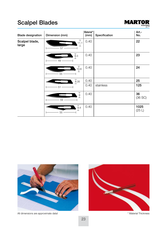# **Scalpel Blades**



| <b>Blade designation</b> | Dimension (mm)                           | Material*<br>(mm) | Specification | Art.-<br>No.       |
|--------------------------|------------------------------------------|-------------------|---------------|--------------------|
| Scalpel blade,<br>large  | $\top$<br>11.1<br>$\mathbf{I}$<br>$57 -$ | 0.40              |               | 22                 |
|                          | $\frac{1}{9}$ .3<br>49                   | 0.40              |               | 23                 |
|                          | $_{10.6}$<br>55                          | 0.40              |               | 24                 |
|                          | $\frac{7}{8.35}$                         | 0.40              |               | 25                 |
|                          | 51                                       | 0.40              | stainless     | 125                |
|                          | $_9^{\top}$<br>$\perp$<br>59             | 0.40              |               | 36<br>$(36$ SC $)$ |
|                          | $\frac{1}{9.4}$<br>$\perp$<br>55         | 0.40              |               | 1025<br>(25 L)     |



All dimensions are approximate data!

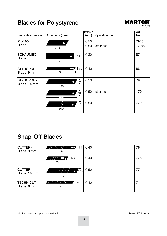# **Blades for Polystyrene**



| <b>Blade designation</b>         | Dimension (mm)                            | Material*<br>(mm) | Specification | Art.-<br>No. |
|----------------------------------|-------------------------------------------|-------------------|---------------|--------------|
| Profi40-                         | $\top$<br>18                              | 0.50              |               | 7940         |
| <b>Blade</b>                     | $\perp$<br>$-71.2 -$                      | 0.50              | stainless     | 17940        |
| <b>SCHAUMEX-</b><br><b>Blade</b> | $_{18.7}^{+}$<br>$\blacksquare$<br>$87 -$ | 0.30              |               | 87           |
| STYROPOR-<br>Blade 9 mm          | $\Box$ 8.9<br>$95 -$                      | 0.40              |               | 86           |
| STYROPOR-<br>Blade 18 mm         | $\top$<br>18<br>ᅩ<br>$-110-$              | 0.50              |               | 79           |
|                                  | ┯<br>18<br>$\perp$<br>$110 -$             | 0.50              | stainless     | 179          |
|                                  | ┯<br>18<br>$\perp$<br>$210 -$             | 0.50              |               | 779          |

# **Snap-Off Blades**

| <b>CUTTER-</b><br>Blade 9 mm    | 77777777777 - 5 18.9<br>$-95$ $-$ | 0.40 | 76  |
|---------------------------------|-----------------------------------|------|-----|
|                                 | 777 <b>__</b> T8.9<br>$-55$ ——    | 0.40 | 776 |
| <b>CUTTER-</b><br>Blade 18 mm   | 17.8<br>110                       | 0.50 | 77  |
| <b>TECHNICUT-</b><br>Blade 6 mm | 7 T 6<br>7776<br>79               | 0.40 | 71  |

All dimensions are approximate data!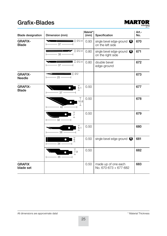#### **Grafix-Blades**



| <b>Blade designation</b>        | Dimension (mm)                                                                                                                                                                                                                                                                                                                                                                                                                                                                                        | Material*<br>(mm) | Specification                                            | Art.-<br>No. |
|---------------------------------|-------------------------------------------------------------------------------------------------------------------------------------------------------------------------------------------------------------------------------------------------------------------------------------------------------------------------------------------------------------------------------------------------------------------------------------------------------------------------------------------------------|-------------------|----------------------------------------------------------|--------------|
| <b>GRAFIX-</b><br><b>Blade</b>  | $\blacksquare$ $\blacksquare$ $\emptyset$ 2.4<br>$-37$ —                                                                                                                                                                                                                                                                                                                                                                                                                                              | 0.93              | single bevel edge-ground $\bigcirc$<br>on the left side  | 670          |
|                                 | $\blacksquare$ $\blacksquare$ $\blacksquare$ $\blacksquare$ $\blacksquare$ $\blacksquare$ $\blacksquare$ $\blacksquare$ $\blacksquare$ $\blacksquare$ $\blacksquare$ $\blacksquare$ $\blacksquare$ $\blacksquare$ $\blacksquare$ $\blacksquare$ $\blacksquare$ $\blacksquare$ $\blacksquare$ $\blacksquare$ $\blacksquare$ $\blacksquare$ $\blacksquare$ $\blacksquare$ $\blacksquare$ $\blacksquare$ $\blacksquare$ $\blacksquare$ $\blacksquare$ $\blacksquare$ $\blacksquare$ $\blacks$<br>$-38 -$ | 0.80              | single bevel edge-ground $\bigcirc$<br>on the right side | 671          |
|                                 | $\equiv$ $\frac{1}{2}$ 02.4<br>$-37$ $-$                                                                                                                                                                                                                                                                                                                                                                                                                                                              | 0.80              | double bevel<br>edge-ground                              | 672          |
| <b>GRAFIX-</b><br><b>Needle</b> | T02<br>$-25$ —                                                                                                                                                                                                                                                                                                                                                                                                                                                                                        |                   |                                                          | 673          |
| <b>GRAFIX-</b><br><b>Blade</b>  | T<br>6.1<br>$-37-$                                                                                                                                                                                                                                                                                                                                                                                                                                                                                    | 0.50              |                                                          | 677          |
|                                 | $\top$<br>10.8<br>⊥<br>42                                                                                                                                                                                                                                                                                                                                                                                                                                                                             | 0.50              |                                                          | 678          |
|                                 | $\frac{1}{7}$<br>$32 -$                                                                                                                                                                                                                                                                                                                                                                                                                                                                               | 0.50              |                                                          | 679          |
|                                 | $\overline{6.1}$<br>$\bullet$<br>$-38$ —                                                                                                                                                                                                                                                                                                                                                                                                                                                              | 0.50              |                                                          | 680          |
|                                 | $\overline{6}$<br>∩<br>$-34-$                                                                                                                                                                                                                                                                                                                                                                                                                                                                         | 0.50              | single bevel edge-ground                                 | 681          |
|                                 | т<br>7.9<br>$-35 -$                                                                                                                                                                                                                                                                                                                                                                                                                                                                                   | 0.50              |                                                          | 682          |
| <b>GRAFIX</b><br>blade set      |                                                                                                                                                                                                                                                                                                                                                                                                                                                                                                       | 0.50              | made up of one each<br>No. 670-673 + 677-682             | 683          |

All dimensions are approximate data!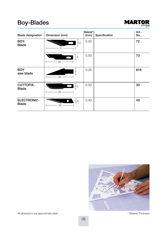# **Boy-Blades**



| <b>Blade designation</b>           | Dimension (mm)                                    | Material*<br>(mm) | Specification | Art.-<br>No. |
|------------------------------------|---------------------------------------------------|-------------------|---------------|--------------|
| BOY-<br><b>Blade</b>               | $_{\rm 8.6}^{\rm T}$<br>41                        | 0.50              |               | 72           |
|                                    | $\begin{array}{c} 7.3 \\ + \end{array}$<br>$38 -$ | 0.50              |               | 73           |
| <b>BOY</b><br>saw blade            | $\frac{1}{9}$<br>$39 -$                           | 0.25              |               | 616          |
| <b>CUTTOFIX-</b><br><b>Blade</b>   | $\overline{8.6}$<br>39                            | 0.50              |               | 33           |
| <b>ELECTRONIC-</b><br><b>Blade</b> | $\frac{1}{5}$ .8<br>38                            | 0.40              |               | 43           |



All dimensions are approximate data!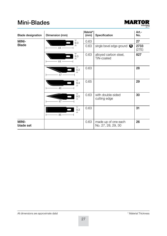### **Mini-Blades**



| <b>Blade designation</b> | Dimension (mm)                                         | Material*<br>(mm) | Specification                             | Art.-<br>No.  |
|--------------------------|--------------------------------------------------------|-------------------|-------------------------------------------|---------------|
| MINI-                    | т<br>9.3                                               | 0.63              |                                           | 27            |
| <b>Blade</b>             | $\mathbf{L}$<br>$44 -$                                 | 0.63              | single bevel edge-ground <a></a>          | 2733<br>(27E) |
|                          | $_{9.3}^\top$<br>$\mathbf{I}$<br>$44 -$                | 0.63              | alloyed carbon steel,<br>TiN-coated       | 827           |
|                          | $\frac{1}{9.3}$<br>47                                  | 0.63              |                                           | 28            |
|                          | $\begin{array}{c} 7 \\ 9.4 \\ \perp \end{array}$<br>46 | 0.65              |                                           | 29            |
|                          | $_{9.5}^{T}$<br>$\Box$<br>47                           | 0.63              | with double-sided<br>cutting edge         | 30            |
|                          | $\frac{1}{9.3}$<br>$46 -$                              | 0.63              |                                           | 31            |
| MINI-<br>blade set       |                                                        | 0.63              | made up of one each<br>No. 27, 28, 29, 30 | 26            |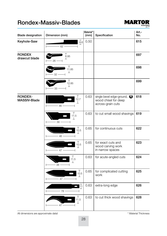#### **Rondex-Massiv-Blades**



| <b>Blade designation</b>       | Dimension (mm)                      | Material*<br>(mm) | Specification                                                                     | Art.-<br>No. |
|--------------------------------|-------------------------------------|-------------------|-----------------------------------------------------------------------------------|--------------|
| Keyhole-Saw                    | $\overline{8.6}$<br>$-62 -$         | 0.50              |                                                                                   | 615          |
| <b>RONDEX</b><br>drawcut blade | 6.95<br>$\mathbb{R}$<br>$26 -$      |                   |                                                                                   | 697          |
|                                | Т<br>11.85<br>⊥<br>32               |                   |                                                                                   | 698          |
|                                | Т<br>12.85<br>┷<br>33               |                   |                                                                                   | 699          |
| RONDEX-<br><b>MASSIV-Blade</b> | 12.7<br>$\mathbf{I}$<br>$-46-$      | 0.63              | single bevel edge-ground, $\bigcirc$<br>wood chisel for deep<br>across-grain cuts | 618          |
|                                | 11.5<br>┻<br>$39 -$                 | 0.63              | to cut small wood shavings                                                        | 619          |
|                                | Т<br>10.5<br>⊥<br>$46 -$            | 0.65              | for continuous cuts                                                               | 622          |
|                                | т<br>10.5<br>⊥<br>$-47$             | 0.65              | for exact cuts and<br>wood carving work<br>in narrow spaces                       | 623          |
|                                | Τ<br>11.5<br>$\mathbf{L}$<br>$38 -$ | 0.63              | for acute-angled cuts                                                             | 624          |
|                                | Τ<br>10.5<br>⊥<br>$47 -$            | 0.65              | for complicated cutting<br>work                                                   | 625          |
|                                | 푶<br>$-78 -$                        | 0.63              | extra-long edge                                                                   | 626          |
|                                | Τ<br>11.5<br>⊥<br>$47 -$            | 0.63              | to cut thick wood shavings                                                        | 628          |

All dimensions are approximate data!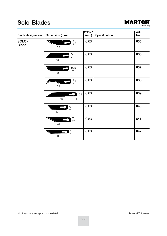### **Solo-Blades**



| <b>Blade designation</b> | Dimension (mm)                                           | Material*<br>(mm) | Specification | Art.-<br>No. |
|--------------------------|----------------------------------------------------------|-------------------|---------------|--------------|
| SOLO-<br><b>Blade</b>    | $_{10.6}^{\top}$<br>ட<br>$53 -$                          | 0.63              |               | 635          |
|                          | $\overline{10}$<br>$-51-$                                | 0.63              |               | 636          |
|                          | $\frac{1}{10.5}$<br>$-50-$                               | 0.63              |               | 637          |
|                          | $_{10.8}^{\top}$<br>$\perp$<br>$53 -$                    | 0.63              |               | 638          |
|                          | 10.8<br>工<br>$-63-$                                      | 0.63              |               | 639          |
|                          | $\frac{1}{2}$<br>$-43-$                                  | 0.63              |               | 640          |
|                          | $\begin{bmatrix} 7 \\ 9.3 \\ + \end{bmatrix}$<br>$-48$ — | 0.63              |               | 641          |
|                          | $\frac{1}{9}$<br>$-50 -$                                 | 0.63              |               | 642          |

All dimensions are approximate data!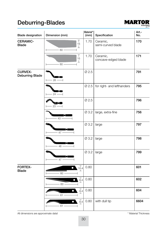# **Deburring-Blades**



| <b>Blade designation</b>                 | Dimension (mm)                          | Material*<br>(mm) | Specification                   | Art.-<br>No. |
|------------------------------------------|-----------------------------------------|-------------------|---------------------------------|--------------|
| <b>CERAMIC-</b><br><b>Blade</b>          | Τ<br>15<br>丄<br>$60 -$                  | 1.70              | Ceramic,<br>semi-curved blade   | 170          |
|                                          | т<br>15<br>T<br>$-60-$                  | 1.70              | Ceramic,<br>concave-edged blade | 171          |
| <b>CURVEX-</b><br><b>Deburring Blade</b> | a<br>$26 -$                             | Ø 2.5             |                                 | 791          |
|                                          | 24                                      | Ø2.5              | for right- and lefthanders      | 795          |
|                                          | Σн<br>$23 -$                            | $\varnothing$ 2.5 |                                 | 796          |
|                                          | n<br>$-43 -$                            | Ø 3.2             | large, extra-fine               | 756          |
|                                          | 47                                      | Ø 3.2             | large                           | 797          |
|                                          | 48                                      | Ø 3.2             | large                           | 798          |
|                                          | 47 -                                    | Ø 3.2             | large                           | 799          |
| <b>FORTEX-</b><br><b>Blade</b>           | 10.4<br>$\bullet$<br>$-60-$             | 0.80              |                                 | 601          |
|                                          | $\frac{1}{8.4}$<br>$\bullet$<br>$-63-$  | 0.80              |                                 | 602          |
|                                          | $_{\rm 8.4}^{\rm +}$<br>$\bullet$<br>61 | 0.80              |                                 | 604          |
|                                          | $\frac{1}{8.4}$<br>$\bullet$<br>$-61 -$ | 0.80              | with dull tip                   | 6604         |

All dimensions are approximate data!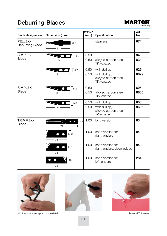# **Deburring-Blades**



| <b>Blade designation</b>                 | Dimension (mm)                      | Material*<br>(mm) | Specification                                         | Art.-<br>No. |
|------------------------------------------|-------------------------------------|-------------------|-------------------------------------------------------|--------------|
| <b>PELLEX-</b><br><b>Deburring Blade</b> | т<br>8.8<br>⊥<br>$32 -$             |                   | stainless                                             | 674          |
| SIMPEL-                                  | $\vert$ 5.7                         | 0.50              |                                                       | 34           |
| <b>Blade</b>                             | $37 -$                              | 0.50              | alloyed carbon steel,<br>TiN-coated                   | 834          |
|                                          | $\bigcup$ 5.7                       | 0.50              | with dull tip                                         | 629          |
|                                          | $34 -$                              | 0.50              | with dull tip,<br>alloyed carbon steel,<br>TiN-coated | 8629         |
| SIMPLEX-                                 | 5.8                                 | 0.50              |                                                       | 605          |
| <b>Blade</b>                             | 33                                  | 0.50              | alloyed carbon steel,<br>TiN-coated                   | 8605         |
|                                          | 5.8                                 | 0.50              | with dull tip                                         | 606          |
|                                          | $-31$                               | 0.50              | with dull tip,<br>alloyed carbon steel,<br>TiN-coated | 8606         |
| <b>TRIMMEX-</b><br><b>Blade</b>          | $T_{12.2}^{T}$<br>$\bullet$<br>- 77 | 1.00              | long version                                          | 83           |
|                                          | Τ<br>12.2<br>$\mathbf{I}$<br>$38 -$ | 1.00              | short version for<br>righthanders                     | 84           |
|                                          | 12.1<br>$\perp$<br>$38 -$           | 1.00              | short version for<br>righthanders, deep-edged         | 8432         |
|                                          | 15<br>$-38-$                        | 1.00              | short version for<br>lefthanders                      | 284          |



All dimensions are approximate data!



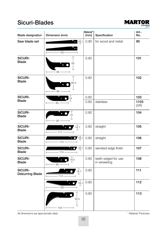### Sicuri-Blades



| <b>Blade designation</b>          | Dimension (mm)                           | Material*<br>(mm) | Specification                       | Art.-<br>No. |
|-----------------------------------|------------------------------------------|-------------------|-------------------------------------|--------------|
| Saw blade set                     | $\frac{1}{2}$ 19.1                       | 0.90              | for wood and metal                  | 90           |
|                                   | $-145 -$                                 |                   |                                     |              |
| SICURI-<br><b>Blade</b>           | 63                                       | 0.80              |                                     | 101          |
|                                   | $95 -$                                   |                   |                                     |              |
| SICURI-<br><b>Blade</b>           | 60.3<br>$95 -$                           | 0.80              |                                     | 102          |
| SICURI-                           | 19                                       | 0.80              |                                     | 103          |
| <b>Blade</b>                      | $-85.$                                   | 0.80              | stainless                           | 1103<br>(3R) |
| SICURI-<br><b>Blade</b>           | $\frac{1}{31}$<br>$\mathbf{I}$<br>93     | 0.80              |                                     | 104          |
| SICURI-<br><b>Blade</b>           | 18.7<br>$-111 -$                         | 0.80              | straight                            | 105          |
| SICURI-<br><b>Blade</b>           | $\bullet$ 0 $\overline{18.7}$<br>$-174-$ | 0.80              | straight                            | 106          |
| <b>SICURI-</b><br><b>Blade</b>    | $\frac{1}{2}$ 18.7<br>$-174-$            | 0.80              | serrated edge finish                | 107          |
| SICURI-<br><b>Blade</b>           | 18.5<br>$85 -$                           | 0.80              | teeth-edged for use<br>in veneering | 108          |
| SICURI-<br><b>Deburring Blade</b> | 18.7<br>$-114-$                          | 0.80              |                                     | 111          |
|                                   | 19.1<br>$-136-$                          | 0.80              |                                     | 112          |
|                                   | 52.5<br>$104 -$                          | 0.80              |                                     | 113          |

All dimensions are approximate data!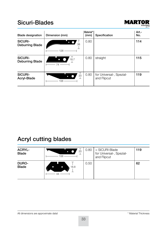### **Sicuri-Blades**



| <b>Blade designation</b>          | Dimension (mm)           | Material*<br>(mm) | Specification                           | Art.-<br>No. |
|-----------------------------------|--------------------------|-------------------|-----------------------------------------|--------------|
| SICURI-<br><b>Deburring Blade</b> | 38<br>128                | 0.80              |                                         | 114          |
| SICURI-<br><b>Deburring Blade</b> | 18.7<br>74               | 0.80              | straight                                | 115          |
| SICURI-<br>Acryl-Blade            | $\top$<br>20<br>о<br>106 | 0.80              | for Universal-, Spezial-<br>and Flipcut | 119          |

# **Acryl cutting blades**

| <b>ACRYL-</b><br><b>Blade</b> | 20<br>106 | 0.80 | $=$ SICURI-Blade<br>for Universal-, Spezial-<br>and Flipcut | 119 |
|-------------------------------|-----------|------|-------------------------------------------------------------|-----|
| DURO-<br><b>Blade</b>         | 18.8<br>C | 0.50 |                                                             | 62  |

All dimensions are approximate data!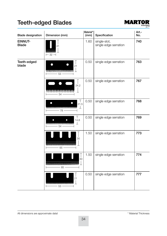# **Teeth-edged Blades**



| <b>Blade designation</b> | Dimension (mm)                                                         | Material*<br>(mm) | Specification                         | Art.-<br>No. |
|--------------------------|------------------------------------------------------------------------|-------------------|---------------------------------------|--------------|
| EINNUT-<br><b>Blade</b>  | 41<br><b>AAAAAAAAAAAA</b><br>$-$ 32 $-$                                | 1.60              | single-slot,<br>single edge serration | 740          |
| Teeth-edged<br>blade     | 21<br><u> www.www.www.www.</u><br>⊥<br>$-53-$                          | 0.50              | single edge serration                 | 763          |
|                          | 24.2<br><u>MAAMAAMAAMAAMA</u><br>- 54                                  | 0.50              | single edge serration                 | 767          |
|                          | $\mathbf{I}$<br>21.5<br>$\perp$<br>- 78 -                              | 0.50              | single edge serration                 | 768          |
|                          | Τ<br>14.8<br>丄<br>~~~~~~~~~~~~~~~~~~<br>$- 54 -$                       | 0.50              | single edge serration                 | 769          |
|                          | 30<br>$- 65 -$                                                         | 1.50              | single edge serration                 | 773          |
|                          | 30<br><b>^^^^^^^^^^^^^^^^^^^^^^^^^^^^^^^^^^^</b><br>$\frac{1}{6}$ 85 - | 1.50              | single edge serration                 | 774          |
|                          | 21<br><b>WWW.WWW.WWW.WWW</b><br>$-53-$                                 | 0.50              | single edge serration                 | 777          |

All dimensions are approximate data!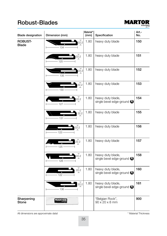#### **Robust-Blades**



| <b>Blade designation</b>       | Dimension (mm)           | Material*<br>(mm) | Specification                                   | Art.-<br>No. |
|--------------------------------|--------------------------|-------------------|-------------------------------------------------|--------------|
| <b>ROBUST-</b><br><b>Blade</b> | 22.2<br>$-134-$          | 1.80              | heavy duty blade                                | 150          |
|                                | 22.2<br>$125 -$          | 1.80              | heavy duty blade                                | 151          |
|                                | 22.2<br>$135 -$          | 1.80              | heavy duty blade                                | 152          |
|                                | $_{22.2}^{+}$<br>$130 -$ | 1.80              | heavy duty blade                                | 153          |
|                                | 22.2<br>127              | 1.80              | heavy duty blade,<br>single bevel edge-ground O | 154          |
|                                | 22.2<br>$-131 -$         | 1.80              | heavy duty blade                                | 155          |
|                                | 22.2<br>$123 -$          | 1.80              | heavy duty blade                                | 156          |
|                                | 22.2<br>$-125 -$         | 1.80              | heavy duty blade                                | 157          |
|                                | 22.2<br>$-128 -$         | 1.80              | heavy duty blade,<br>single bevel edge-ground O | 158          |
|                                | 22.2<br>$122 -$          | 1.80              | heavy duty blade,<br>single bevel edge-ground O | 160          |
|                                | 22.2<br>$136 -$          | 1.80              | heavy duty blade,<br>single bevel edge-ground O | 161          |
| Sharpening<br>Stone            | <b>MARTOR</b>            |                   | "Belgian Rock",<br>$90 \times 20 \times 8$ mm   | 900          |

All dimensions are approximate data!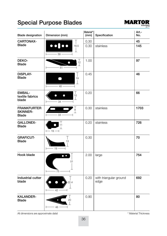

| <b>Blade designation</b>                              | Dimension (mm)                                                                                        | Material*<br>(mm) | Specification                  | Art.-<br>No. |
|-------------------------------------------------------|-------------------------------------------------------------------------------------------------------|-------------------|--------------------------------|--------------|
| CARTONAX-                                             | T                                                                                                     | 0.30              |                                | 45           |
| <b>Blade</b>                                          | $\overline{\bullet}$ $\overline{\bullet}$ $\overline{\bullet}$ $\overline{\bullet}$<br>18.5<br>$-39-$ | 0.30              | stainless                      | 145          |
| DEKO-<br><b>Blade</b>                                 | $_{12}^\top$<br>$\bullet$<br>丄<br>$-61-$                                                              | 1.00              |                                | 97           |
| <b>DISPLAY-</b><br><b>Blade</b>                       | 19<br>Т<br>$-48-$                                                                                     | 0.45              |                                | 46           |
| <b>EMBAL-</b><br>textile fabrics<br>blade             | Τ<br>10<br>О<br>⊥<br>$-34 -$                                                                          | 0.20              |                                | 66           |
| <b>FRANKFURTER</b><br><b>SKINNER-</b><br><b>Blade</b> | $_8^\top$<br>⊥<br>$33 -$                                                                              | 0.30              | stainless                      | 1703         |
| <b>GALLONEX-</b><br><b>Blade</b>                      | Τ<br>11<br>$\mathbf{I}$<br>$\longmapsto$ 19 $\longrightarrow$                                         | 0.20              | stainless                      | 726          |
| <b>GRAFICUT-</b><br><b>Blade</b>                      | T<br>13<br>$-19-$<br>H                                                                                | 0.30              |                                | 70           |
| Hook blade                                            | 51<br>$-75$                                                                                           | 2.00              | large                          | 754          |
| Industrial cutter<br>blade                            | 22.4<br>42                                                                                            | 0.20              | with triangular ground<br>edge | 692          |
| <b>KALANDER-</b><br><b>Blade</b>                      | 20<br>$46 -$                                                                                          | 0.90              |                                | 80           |

All dimensions are approximate data!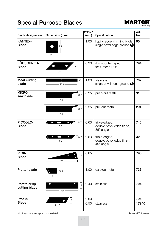

| <b>Blade designation</b>       | Dimension (mm)                                                          | Material*<br>(mm) | Specification                                              | Art.-<br>No. |
|--------------------------------|-------------------------------------------------------------------------|-------------------|------------------------------------------------------------|--------------|
| <b>KANTEX-</b><br><b>Blade</b> | 25<br>$-23-$                                                            | 1.00              | lipping edge trimming blade,<br>single bevel edge-ground O | 95           |
| KÜRSCHNER-<br><b>Blade</b>     | $\mathbf{I}$<br>24<br>⊥<br>$-85 -$                                      | 0.30              | rhomboid-shaped,<br>for furrier's knife                    | 794          |
| <b>Meat cutting</b><br>blade   | $\overline{20}$<br>₹<br>$433$ —                                         | 1.00              | stainless,<br>single bevel edge-ground O                   | 702          |
| <b>MICRO</b><br>saw blade      | Т<br>25.4<br>上<br>$-$ 140 $-$                                           | 0.25              | push-cut teeth                                             | 91           |
|                                | $\top$<br>25.4<br>工<br>$-140-$                                          | 0.25              | pull-cut teeth                                             | 291          |
| PICCOLO-<br><b>Blade</b>       | $\langle \cdot \cdot \cdot \cdot \rangle$<br>$\sqrt{5.7}$<br>$-$ 52 $-$ | 0.63              | triple-edged,<br>double bevel edge finish,<br>36° angle    | 746          |
|                                | $\bullet$ $\bullet$ / T <sub>5.7</sub><br>$\frac{1}{52}$ 52             | 0.63              | triple-edged,<br>double bevel edge finish,<br>45° angle    | 32           |
| PICK-<br><b>Blade</b>          | $\mathbf{I}$<br>19<br>⊥<br>$- 78 -$                                     | 0.65              |                                                            | 793          |
| <b>Plotter blade</b>           | 10.8<br>$-11-$                                                          | 1.00              | carbide metal                                              | 736          |
| Potato crisp<br>cutting blade  | Τ<br>19<br>工<br>$\frac{1}{107}$                                         | 0.40              | stainless                                                  | 704          |
| Profi40-                       | 18                                                                      | 0.50              |                                                            | 7940         |
| Blade                          | 71.2                                                                    | 0.50              | stainless                                                  | 17940        |

All dimensions are approximate data!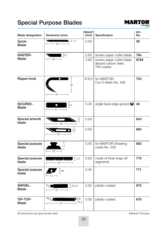

| <b>Blade designation</b>        | Dimension (mm)                                                              | Material*<br>(mm) | Specification                                                    | Art.-<br>No. |
|---------------------------------|-----------------------------------------------------------------------------|-------------------|------------------------------------------------------------------|--------------|
| Quick-<br><b>Blade</b>          | $\blacksquare$ 1.7<br>╲<br>$\frac{1}{\sqrt{2}}$ 25                          | 0.50              |                                                                  | 39           |
| <b>RASTER-</b>                  | $\sqrt{ }$ 75.7                                                             | 0.63              | screen paper cutter blade                                        | 784          |
| <b>Blade</b>                    | $\overline{)}$ 29 $\overline{\rightarrow}$                                  | 0.63              | screen paper cutter blade<br>alloyed carbon steel,<br>TiN-coated | 8784         |
| Ripper-hook                     | 46<br>67.                                                                   | Ø 8.0             | for MARTOR-<br>Cut-O-Matic No. 438                               | 753          |
| <b>SICUREX-</b><br><b>Blade</b> | 9.4<br>$\bullet$<br>41                                                      | 0.45              | single bevel edge-ground O                                       | 40           |
| Special artwork<br>blade        | $\overline{6}$<br>$-43 -$                                                   | 0.50              |                                                                  | 643          |
|                                 | 4.2<br>24                                                                   | 0.50              |                                                                  | 684          |
| Special purpose<br>blade        | Τ<br>11<br>⊥<br>$-25-$                                                      | 0.40              | for MARTOR-Sheeting<br>cutter No. 335                            | 693          |
| Special purpose<br>blade        | $\blacksquare$<br>$-45-$<br>$\vdash$                                        | 0.63              | made of three snap-off<br>segments                               | 770          |
| Special purpose<br>blade        | 5.85<br>$-12-$                                                              | 0.40              |                                                                  | 771          |
| SWIVEL-<br><b>Blade</b>         | $\bigcap$ Ø 3.6<br>$\sqrt{2}$<br>$\overline{\qquad}$ 22 $\overline{\qquad}$ | 0.50              | plastic-coated                                                   | 675          |
| TIP-TOP-<br><b>Blade</b>        | $\mathbb{Z}$<br>$\blacksquare$<br>$-4.2$<br>$-37$ —                         | 0.50              | plastic-coated                                                   | 676          |

All dimensions are approximate data!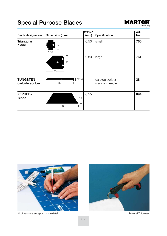

| <b>Blade designation</b>           | Dimension (mm)    | Material*<br>(mm) | Specification                       | Art.-<br>No. |
|------------------------------------|-------------------|-------------------|-------------------------------------|--------------|
| Triangular<br>blade                | 19<br>$+17.3 -$   | 0.50              | small                               | 760          |
|                                    | 26<br>$33 -$      | 0.80              | large                               | 761          |
| <b>TUNGSTEN</b><br>carbide scriber | $\top$ Ø2.0<br>32 |                   | carbide scriber +<br>marking needle | 38           |
| <b>ZEPHER-</b><br><b>Blade</b>     | 19<br>56          | 0.55              |                                     | 694          |



All dimensions are approximate data!

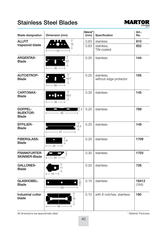### **Stainless Steel Blades**



| <b>Blade designation</b>                    | Dimension (mm)                                                                      | Material*<br>(mm) | Specification                        | Art.-<br>No.   |
|---------------------------------------------|-------------------------------------------------------------------------------------|-------------------|--------------------------------------|----------------|
| <b>ALLFIT</b>                               | $\top$                                                                              | 0.63              | stainless                            | 610            |
| trapezoid blade                             | $\bullet$ $\bullet$<br>19<br>$\perp$<br>$-53-$<br>$\overline{\phantom{0}}$          | 0.63              | stainless,<br><b>TiN-coated</b>      | 852            |
| <b>ARGENTAX-</b><br><b>Blade</b>            | Τ<br>20<br>$\perp$<br>- 39 -                                                        | 0.25              | stainless                            | 144            |
| AUTOSTROP-<br><b>Blade</b>                  | $\top$<br>$\bullet$<br>l<br>18.7<br>$\bot$<br>$39 -$                                | 0.25              | stainless,<br>without edge protector | 165            |
| <b>CARTONAX-</b><br><b>Blade</b>            | Τ<br>$\bullet \bullet$ $\bullet \bullet$<br>18.5<br>$\mathbf{I}$<br>$-39-$          | 0.30              | stainless                            | 145            |
| DOPPEL-<br><b>INJEKTOR-</b><br><b>Blade</b> | $\overline{\phantom{a}}$<br>$\blacksquare$<br>$\Box$ 8<br>$\frac{1}{\sqrt{2}}$ 80 - | 0.25              | stainless                            | 789            |
| <b>EFFILIER-</b><br><b>Blade</b>            | $\top$<br>12.5<br>工<br>$\frac{1}{2}$ 57 $\frac{1}{2}$                               | 0.25              | stainless                            | 149            |
| <b>FIBERGLASS-</b><br><b>Blade</b>          | 7.9<br>$\bullet$<br>工<br>$\longleftarrow$ 22 $\longrightarrow$                      | 0.25              | stainless                            | 1709           |
| <b>FRANKFURTER</b><br><b>SKINNER-Blade</b>  | $\overline{8}$<br>$33 -$                                                            | 0.30              | stainless                            | 1703           |
| <b>GALLONEX-</b><br><b>Blade</b>            | Τ<br>11<br>⊥<br>$\leftarrow$ 19 $\leftarrow$                                        | 0.20              | stainless                            | 726            |
| <b>GLASHOBEL-</b><br><b>Blade</b>           | $\frac{1}{22}$<br>$\bullet$<br>$\bullet$<br>$\bullet$<br>$-$ 120 $-$                | 0.15              | stainless                            | 16412<br>(164) |
| Industrial cutter<br>blade                  | 19<br>$-44-$                                                                        | 0.10              | with 6 notches, stainless            | 180            |

All dimensions are approximate data!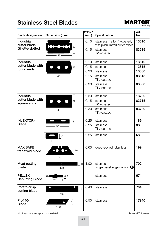#### **Stainless Steel Blades**



| <b>Blade designation</b>           | Dimension (mm)                                                     | Material*<br>(mm) | Specification                                                | Art.-<br>No. |
|------------------------------------|--------------------------------------------------------------------|-------------------|--------------------------------------------------------------|--------------|
| <b>Industrial</b><br>cutter blade, | 22                                                                 | 0.10              | stainless, Teflon®-coated,<br>with platinumized cutter edges | 13510        |
| Gillette-slotted                   | $43 -$                                                             | 0.15              | stainless,<br>TiN-coated                                     | 83515        |
| Industrial                         |                                                                    | 0.10              | stainless                                                    | 13610        |
| cutter blade with                  | 22                                                                 | 0.15              | stainless                                                    | 13615        |
| round ends                         |                                                                    | 0.30              | stainless                                                    | 13630        |
|                                    | $43 -$<br>⊢                                                        | 0.15              | stainless,<br>TiN-coated                                     | 83615        |
|                                    |                                                                    | 0.30              | stainless,<br>TiN-coated                                     | 83630        |
| Industrial                         |                                                                    | 0.30              | stainless                                                    | 13730        |
| cutter blade with<br>square ends   | $\overline{\phantom{a}}$<br>22                                     | 0.15              | stainless,<br>TiN-coated                                     | 83715        |
|                                    | 43 -                                                               | 0.30              | stainless,<br>TiN-coated                                     | 83730        |
| <b>INJEKTOR-</b>                   | 8                                                                  | 0.25              | stainless                                                    | 189          |
| <b>Blade</b>                       | $-38 -$                                                            | 0.25              | stainless,<br>TiN-coated                                     | 889          |
|                                    | 8<br>$\leftarrow$ 18 $\rightarrow$                                 | 0.25              | stainless                                                    | 689          |
| <b>MAXISAFE</b><br>trapezoid blade | Τ<br>$\bullet$ $\bullet$<br>$\bullet \bullet$<br>19<br>⊥<br>$-60-$ | 0.63              | deep-edged, stainless                                        | 199          |
| <b>Meat cutting</b><br>blade       | ₹<br>$\mathsf{T}_{20}$<br>433 -                                    | 1.00              | stainless,<br>single bevel edge-ground                       | 702          |
| PELLEX-<br><b>Deburring Blade</b>  | 8.8<br>$\frac{1}{2}$ - 32 -<br>$\overline{\phantom{0}}$            |                   | stainless                                                    | 674          |
| Potato crisp<br>cutting blade      | 19<br>工<br>$-107-$                                                 | 0.40              | stainless                                                    | 704          |
| Profi40-<br><b>Blade</b>           | 18<br>┷<br>$-71.2 -$                                               | 0.50              | stainless                                                    | 17940        |

All dimensions are approximate data!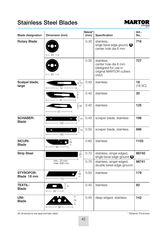### **Stainless Steel Blades**



| <b>Blade designation</b>        | Dimension (mm)                 | Material*<br>(mm) | Specification                                                                                   | Art.-<br>No.  |
|---------------------------------|--------------------------------|-------------------|-------------------------------------------------------------------------------------------------|---------------|
| <b>Rotary Blade</b>             | $-25-$                         | 0.30              | stainless,<br>single bevel edge-ground, $\bigcirc$<br>center hole dia 6 mm                      | 716           |
|                                 | $-25-$                         | 0.30              | stainless,<br>center hole dia 6 mm<br>(designed for use in<br>original MARTOR cutters<br>only!) | 727           |
| Scalpel blade,<br>large         | $_{8.75}^{\top}$<br>52         | 0.40              | stainless                                                                                       | 18<br>(18 SC) |
|                                 | т<br>$^{9}_{\perp}$<br>45      | 0.40              | stainless                                                                                       | 20            |
|                                 | 8.35<br>$-51-$                 | 0.40              | stainless                                                                                       | 125           |
| <b>SCHABER-</b><br><b>Blade</b> | 14<br>$\bullet$<br>$-100-$     | 0.40              | scraper blade, stainless                                                                        | 196           |
|                                 | $\bullet$<br> 14<br>$-100-$    | 0.50              | scraper blade, stainless                                                                        | 696           |
| SICURI-<br><b>Blade</b>         | 19<br>85                       | 0.80              | stainless                                                                                       | 1103          |
| <b>Strip Steel</b>              | $_{25}^{\top}$<br>$\mathbf{I}$ | 0.70              | stainless, singel edged,<br>single bevel edge-ground O                                          | 88740         |
|                                 | min. 20 mm<br>max. 600 mm      | 0.70              | stainless, singel-edged,<br>double bevel edge-ground                                            | 88741         |
| STYROPOR-<br>Blade 18 mm        | 18<br>$110 -$                  | 0.50              | stainless                                                                                       | 179           |
| <b>TEXTIL-</b><br><b>Blade</b>  | 9<br>$30 -$                    | 0.40              | stainless                                                                                       | 82            |
| UNI-<br><b>Blade</b>            | т<br>19<br>58                  | 0.45              | deep-edged, stainless                                                                           | 142           |

All dimensions are approximate data!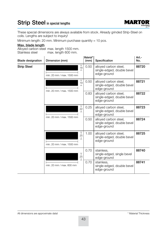#### Strip Steel in special lengths



These special dimensions are always available from stock. Already grinded Strip-Steel on coils. Lengths are subject to inquiry!

Minimum length: 20 mm. Minimum purchase quantity = 10 pcs.

#### Max. blade length

Alloyed carbon steel max. length 1500 mm.<br>Stainless steel max. length 600 mm. max. length 600 mm.

| <b>Blade designation</b> | Dimension (mm)                                        | Material*<br>(mm) | Specification                                                      | Art.-<br>No. |
|--------------------------|-------------------------------------------------------|-------------------|--------------------------------------------------------------------|--------------|
| <b>Strip Steel</b>       | $\overline{18}$<br>ட<br>min. 20 mm / max. 1500 mm     | 0.50              | alloyed carbon steel,<br>single-edged, double bevel<br>edge-ground | 88720        |
|                          | ⊤<br>19<br>ᆂ<br>min. 20 mm / max. 1500 mm             | 0.50              | alloyed carbon steel,<br>single-edged, double bevel<br>edge-ground | 88721        |
|                          |                                                       | 0.83              | alloyed carbon steel,<br>single-edged, double bevel<br>edge-ground | 88722        |
|                          | $\frac{1}{22}$<br>$\Box$<br>min. 20 mm / max. 1500 mm | 0.25              | alloyed carbon steel,<br>single-edged, double bevel<br>edge-ground | 88723        |
|                          |                                                       | 0.50              | alloyed carbon steel,<br>single-edged, double bevel<br>edge-ground | 88724        |
|                          | Т<br>25<br>$\perp$<br>min. 20 mm / max. 1500 mm       | 1.00              | alloyed carbon steel,<br>single-edged, double bevel<br>edge-ground | 88725        |
|                          | т<br>25<br>⊥                                          | 0.70              | stainless.<br>single-edged, single bevel<br>edge-ground            | 88740        |
|                          | min. 20 mm / max. 600 mm                              | 0.70              | stainless,<br>single-edged, double bevel<br>edge-ground            | 88741        |

All dimensions are approximate data!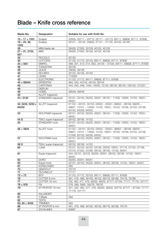| Blade-No.                | Designation                  | Suitable for use with Knife No.                                                                                                                              |
|--------------------------|------------------------------|--------------------------------------------------------------------------------------------------------------------------------------------------------------|
| $10 - 17 + 1031$         | Scalpel                      | 20500, 20711 - 20713, 22111 - 23113, 69111, 69606, 87111, 87606                                                                                              |
| $18 - 25, 36,$<br>1025   | Scalpel                      | 20121 - 20125, 20600, 21121 - 21125, 40125, 40128                                                                                                            |
| 26                       | MINI blade set               | 26426, 27300, 30128, 40125, 40128                                                                                                                            |
| 27 - 31, 2733,<br>827    | <b>MINI</b>                  | 26426, 27300, 30128, 40125, 40128                                                                                                                            |
| 32                       | PICCOLO                      | 32132                                                                                                                                                        |
| 33                       | <b>CUTTOFIX</b>              | 31133, 31172, 33133, 69111, 69606, 87111, 87606                                                                                                              |
| $34 + 834$               | <b>SIMPEL</b>                | 488, 501, 513, 514, 850, 34134 - 37334, 69111, 69606, 87111, 87606                                                                                           |
| 38                       | <b>TUNGSTEN</b>              | 38138                                                                                                                                                        |
| 39                       | <b>QUICK</b>                 | 25639, 39139                                                                                                                                                 |
| 40                       | <b>SICUREX</b>               | 40125, 40128, 40140                                                                                                                                          |
| 41                       | <b>LEWIS</b>                 | 710000                                                                                                                                                       |
| 43                       | <b>ELECTRONIC</b>            | 31133, 31172, 69111, 69606, 87111, 87606                                                                                                                     |
| 44 + 60044               | <b>ARGENTAX</b>              | 464, 544, 44144, 46144, 58144                                                                                                                                |
| 45                       | CARTONAX                     | 444, 445, 446, 1444, 15045, 15145, 68145, 86145, 100145, 121001                                                                                              |
| 46                       | <b>DISPLAY</b>               |                                                                                                                                                              |
| 48                       | <b>HOBEL</b>                 | 48548, 49548                                                                                                                                                 |
| 50                       | ALLFIT trapezoid             | $\equiv$                                                                                                                                                     |
| 51+ 5132                 | STANDARD trapezoid           | 02101, 02103, 05255, 05551, 08152 - 11500, 13500, 14152, 16551,<br>94551                                                                                     |
| 52, 5232, 5233+<br>65232 | ALLFIT trapezoid             | 01152 - 02101, 02103, 03552 - 05551, 06952 - 08156, 09255 -<br>09651, 10101 - 13500, 14152, 16551, 19152, 19156, 24152, 24156,<br>63152, 64256, 64552        |
| 53                       | WOLFRAM trapezoid            | 02101, 02103, 05255, 05551, 08152 - 11500, 13500, 14152, 16551,<br>94551                                                                                     |
| 54 S                     | TEKLI super-trapezoid        | 08152, 08156, 14152                                                                                                                                          |
| 55                       | STANDARD hook                | 02101, 02103, 05255, 05551, 08152 - 11500, 13500, 14152, 16551,<br>94551                                                                                     |
| $56 + 5634$              | ALLFIT hook                  | 01152 - 02101, 02103, 03552 - 05551, 06952 - 08156, 09255 -<br>09651, 10101 - 13500, 14152, 16551, 19152, 19156, 24152, 24156,<br>51556, 63152, 64256, 64552 |
| 57                       | <b>WOLFRAM hook</b>          | 02101, 02103, 05255, 05551, 08152 - 11500, 13500, 14152, 16551,<br>94551                                                                                     |
| 58 S                     | TEKLI super-trapezoid        | 08152, 08156, 14152                                                                                                                                          |
| 60                       | <b>LUNA</b>                  | 02101, 02103, 04152, 04156, 05255, 05551, 07116, 07152, 07156,<br>07216, 07252, 07256, 08152, 08156, 14152, 94551                                            |
| 61                       | Super-trapezoid              | 334, 02101, 02103, 05255, 05551, 08152, 08156, 14152, 16551,<br>94551                                                                                        |
| 62                       | <b>DURO</b>                  | 05255, 05551, 94551                                                                                                                                          |
| 63                       | Super-hook                   | 02101, 02103, 05255, 05551, 08152, 08156, 14152, 16551, 94551                                                                                                |
| 67                       | <b>KÜRSCHNER</b>             | 360                                                                                                                                                          |
| 70                       | <b>GRAFICUT</b>              | 70170                                                                                                                                                        |
| 71                       | <b>TECHNICUT</b>             | 71171                                                                                                                                                        |
| $72 + 73$                | BOY                          | 31133, 31172, 33133, 69111, 69606, 87111, 87606                                                                                                              |
| 76                       | CUTTER 9 mm                  | 461, 476, 486, 46100, 46102, 66176, 66186, 76176, 76186                                                                                                      |
| 77                       | CUTTER 18 mm                 | 332, 462, 477, 479, 46200, 46202, 67177, 67194, 77177, 77179, 107177                                                                                         |
| 78 + 878<br>79           | <b>FIX</b><br>STYROPOR 18 mm | 578, 599, 5990, 59278, 78278<br>331, 332, 462, 477, 479, 46200, 46202, 50779, 67177 - 67194, 77177,                                                          |
| 80                       |                              | 77179, 107177                                                                                                                                                |
| 81                       | <b>KALANDER</b><br>Y-Blade   | 594                                                                                                                                                          |
| 82                       | <b>TEXTIL</b>                | $\overline{\phantom{0}}$                                                                                                                                     |
| 83, 84 + 8432            | <b>TRIMMEX</b>               | 583                                                                                                                                                          |
| 86                       | STYROPOR 9 mm                | 461, 476, 486, 46100, 46102, 66176, 66186, 76176                                                                                                             |
| 87                       | <b>SCHAUMEX</b>              | 92687                                                                                                                                                        |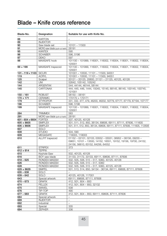| Blade-No.           | Designation                      | Suitable for use with Knife No.                                                                                                                                     |
|---------------------|----------------------------------|---------------------------------------------------------------------------------------------------------------------------------------------------------------------|
| 88                  | <b>KARTON</b>                    |                                                                                                                                                                     |
| 89                  | <b>INJEKTOR</b>                  |                                                                                                                                                                     |
| 90                  | Saw blade set                    | $10101 - 11500$                                                                                                                                                     |
| 91                  | MICRO-saw blade (push-cut teeth) | 28191                                                                                                                                                               |
| 95                  | <b>KANTEX</b>                    | 595                                                                                                                                                                 |
| 96                  | <b>SCHABER</b>                   | 596, 5196                                                                                                                                                           |
| 97                  | <b>DEKO</b>                      | 597                                                                                                                                                                 |
| 98                  | <b>MAXISAFE hook</b>             | 101100 - 101999, 116001, 116002, 116004, 118001, 118002, 118004,<br>120001                                                                                          |
| $99 + 199$          | MAXISAFE trapezoid               | 101100 - 101999, 116001, 116002, 116004, 118001, 118002, 118004,<br>120001                                                                                          |
| 101-119+1103 SICURI |                                  | 101001 - 10500, 11101 - 11500, 94551                                                                                                                                |
| 119                 | <b>ACRYL</b>                     | 101001 - 10500, 11101 - 11500, 94551                                                                                                                                |
| 125                 | Scalpel                          | 20121 - 20125, 20600, 21121 - 21125, 40125, 40128                                                                                                                   |
| 142                 | <b>UNI</b>                       | 52642, 105142, 105242                                                                                                                                               |
| 144                 | <b>ARGENTAX</b>                  | 544, 44144, 46144, 58144                                                                                                                                            |
| 145                 | CARTONAX                         | 444, 445, 446, 1444, 15045, 15145, 68145, 86145, 100145, 100745,<br>121001                                                                                          |
| $150 - 161$         | <b>ROBUST</b>                    | $06150 - 06161$                                                                                                                                                     |
| $170 + 171$         | <b>CERAMIC</b>                   | 170170 + 170171                                                                                                                                                     |
| 179                 | <b>STYROPOR</b>                  | 331, 332, 477, 479, 46200, 46202, 50779, 67177, 67179, 67194, 107177                                                                                                |
| 196                 | <b>SCHABER</b>                   | 596, 5196                                                                                                                                                           |
| 199                 | MAXISAFE trapezoid               | 101100 - 101999, 116001, 116002, 116004, 118001, 118002, 118004,<br>120001                                                                                          |
| 284                 | <b>TRIMMEX</b>                   | 583                                                                                                                                                                 |
| 291                 | MICRO saw blade (pull-cut teeth) | 28191                                                                                                                                                               |
| $601 - 604 + 6604$  | <b>FORTEX</b>                    | 507, 40125, 40128                                                                                                                                                   |
| $605 + 8605$        | <b>SIMPLEX</b>                   | 501, 511, 512, 850, 36134, 69606, 69111, 87111, 87606, 111605                                                                                                       |
| $606 + 8606$        | <b>SIMPLEX</b>                   | 501, 511, 512, 850, 36134, 69606, 69111, 87111, 87606, 111605, 112606                                                                                               |
| 607                 | <b>SOLO</b>                      | $\equiv$                                                                                                                                                            |
| 608                 | <b>STUDIO</b>                    | 504, 590                                                                                                                                                            |
| 609                 | <b>MEGASAFE</b>                  | 116003, 118003                                                                                                                                                      |
| 610                 | ALLFIT trapezoid                 | 01152 - 02101, 02103, 03552 - 05551, 06952 - 08156, 09255 -<br>09651, 10101 - 13500, 14152, 16551, 19152, 19156, 19700, 24152,<br>24156, 56610, 63152, 64256, 64552 |
| 611                 | <b>STRIPEX</b>                   | 373                                                                                                                                                                 |
| $612 + 614$         | <b>TEPPIX</b>                    | $\equiv$                                                                                                                                                            |
| 615                 | Keyhole-Saw                      | 502, 40125, 40128                                                                                                                                                   |
| 616                 | BOY saw blade                    | 31133, 31172, 33133, 69111, 69606, 87111, 87606                                                                                                                     |
| $618 - 625$         | RONDEX-MASSIV                    | 502, 505, 506, 515 - 517, 5060, 40125, 40128                                                                                                                        |
| 626                 | RONDEX-MASSIV                    | 502, 505, 506, 515 - 517, 5060                                                                                                                                      |
| 628                 | RONDEX-MASSIV                    | 502, 505, 506, 515 - 517, 5060, 40125, 40128                                                                                                                        |
| $629 + 8629$        | <b>SIMPEL</b>                    | 501, 513, 514, 850, 34134 - 36134, 69111, 69606, 87111, 87606                                                                                                       |
| $635 - 638$         | <b>SOLO</b>                      |                                                                                                                                                                     |
| $639 - 642$         | <b>SOLO</b>                      | 40125, 40128, 117001                                                                                                                                                |
| 643                 | Special artwork                  | 69111, 69606, 87111, 87606                                                                                                                                          |
| $670 - 673$         | <b>GRAFIX</b>                    | 412, 501, 804 - 850                                                                                                                                                 |
| 674                 | <b>PELLEX</b>                    | 412, 501, 804 - 850, 32132                                                                                                                                          |
| 675<br>676          | <b>SWIVEL</b><br>TIP-TOP         | 508<br>490                                                                                                                                                          |
| 677 - 683           | <b>GRAFIX</b>                    | 412, 501, 804 - 850, 69111, 69606, 87111, 87606                                                                                                                     |
| 684                 | Special artwork                  | $\overline{\phantom{a}}$                                                                                                                                            |
| 689                 | <b>INJEKTOR</b>                  | $\bar{ }$                                                                                                                                                           |
| 692                 | Industrial                       | $\equiv$                                                                                                                                                            |
| 693                 | Special                          | 335                                                                                                                                                                 |
| 694                 | <b>ZEPHER</b>                    | 336                                                                                                                                                                 |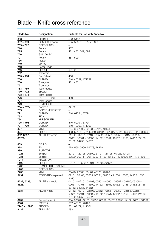| Blade-No.            | Designation                | Suitable for use with Knife No.                                                                                                                       |
|----------------------|----------------------------|-------------------------------------------------------------------------------------------------------------------------------------------------------|
| 696                  | <b>SCHABER</b>             | 596, 5196                                                                                                                                             |
| 697 - 699            | RONDEX drawcut             | 505, 506, 515 - 517, 5060                                                                                                                             |
| $709 - 712$          | <b>FIBERGLASS</b>          | L.                                                                                                                                                    |
| 716                  | Rotary                     | 467                                                                                                                                                   |
| 725                  | Rotary                     | 481, 482, 509, 599                                                                                                                                    |
| 726                  | <b>GALLONEX</b>            | $\overline{\phantom{0}}$                                                                                                                              |
| 727                  | Rotary                     | 467, 599                                                                                                                                              |
| 736                  | Plotter                    | $\equiv$                                                                                                                                              |
| 740                  | <b>EINNUT</b>              | $\overline{\phantom{a}}$                                                                                                                              |
| 743                  | Razor Blade                | ÷.                                                                                                                                                    |
| 746                  | <b>PICCOLO</b>             | 32132                                                                                                                                                 |
| 752                  | Trapezoid                  | $\qquad \qquad -$                                                                                                                                     |
| $753 + 754$          | Cut-O-Matic                | 438                                                                                                                                                   |
| 756                  | <b>CURVEX</b>              | 510, 40797, 171797                                                                                                                                    |
| 760                  | Triangular                 | 481, 482                                                                                                                                              |
| 761                  | Triangular                 | $-$                                                                                                                                                   |
| 763 - 769            | Teeth-edged                | $\overline{a}$                                                                                                                                        |
| 770 - 772            | Special                    | $\qquad \qquad -$                                                                                                                                     |
| $773 + 774$          | Teeth-edged                | $\overline{a}$                                                                                                                                        |
| 776                  | CUTTER 9 mm                | 460                                                                                                                                                   |
| 777                  | Teeth-edged                | $\equiv$                                                                                                                                              |
| 779                  | <b>STYROPOR</b>            | $\overline{\phantom{0}}$                                                                                                                              |
| 784 + 8784           | <b>RASTER</b>              | 32132                                                                                                                                                 |
| 789                  | DOPPEL-INJEKTOR            |                                                                                                                                                       |
| 791                  | <b>CURVEX</b>              | 510, 69791, 87791                                                                                                                                     |
| 793                  | <b>PICK</b>                | $\overline{\phantom{0}}$                                                                                                                              |
| 794                  | <b>KÜRSCHNER</b>           | L.                                                                                                                                                    |
| 795 + 796            | <b>CURVEX</b>              | 510, 69791, 87791                                                                                                                                     |
| 797 - 799            | <b>CURVEX</b>              | 510, 40797, 171797                                                                                                                                    |
| 827                  | <b>MINI</b>                | 26426, 27300, 30128, 40125, 40128                                                                                                                     |
| 834                  | <b>SIMPEL</b>              | 488, 501, 513, 514, 850, 34134 - 37334, 69111, 69606, 87111, 87606                                                                                    |
| 852, 8852,<br>85233  | ALLFIT trapezoid           | 01152 - 02101, 02103, 03552 - 05551, 06952 - 08156, 09255 -<br>09651, 10101 - 13500, 14152, 16551, 19152, 19156, 24152, 24156,<br>63152, 64256, 64552 |
| 869                  | CELLO                      | ÷                                                                                                                                                     |
| 878                  | <b>FIX</b>                 | 578, 599, 5990, 59278, 78278                                                                                                                          |
| 889                  | <b>INJEKTOR</b>            |                                                                                                                                                       |
| 1025                 | Scalpel                    | 20121 - 20125, 20600, 21121 - 21125, 40125, 40128                                                                                                     |
| 1031                 | Scalpel                    | 20500, 20711 - 20713, 22111-23113, 69111, 69606, 87111, 87606                                                                                         |
| 1044                 | ARGENTAX                   |                                                                                                                                                       |
| 1103                 | <b>SICURI</b>              | 10101 - 10500, 11101 - 11500, 94551                                                                                                                   |
| 1703                 | <b>FRANKFURTER SKINNER</b> | $\overline{\phantom{a}}$                                                                                                                              |
| 1709                 | <b>FIBERGLASS</b>          |                                                                                                                                                       |
| 2733                 | <b>MINI</b>                | 26426, 27300, 30128, 40125, 40128                                                                                                                     |
| 5132                 | STANDARD trapezoid         | 02101, 02103, 05255, 05551, 08152 - 11500, 13500, 14152, 16551,<br>94551                                                                              |
| 5232, 5233,<br>85233 | ALLFIT trapezoid           | 01152 - 02101, 02103, 03552 - 05551, 06952 - 08156, 09255 -<br>09651, 10101 - 13500, 14152, 16551, 19152, 19156, 24152, 24156,<br>63152, 64256, 64552 |
| 5634                 | <b>ALLFIT hook</b>         | 01152 - 02101, 02103, 03552 - 05551, 06952 - 08156, 09255 -<br>09651, 10101 - 13500, 14152, 16551, 19152, 19156, 24152, 24156,<br>63152, 64256, 64552 |
| 6132                 | Super-trapezoid            | 334, 02101, 02103, 05255, 05551, 08152, 08156, 14152, 16551, 94551                                                                                    |
| 6604                 | <b>FORTEX</b>              | 507, 40125, 40128                                                                                                                                     |
| $7940 + 17940$       | PROFI40                    | 331, 67179, 119001                                                                                                                                    |
| 8432                 | <b>TRIMMEX</b>             | 583                                                                                                                                                   |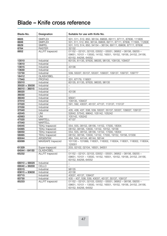| Blade-No.     | Designation            | Suitable for use with Knife No.                                                                                                                         |
|---------------|------------------------|---------------------------------------------------------------------------------------------------------------------------------------------------------|
| 8605          | <b>SIMPLEX</b>         | 501, 511, 512, 850, 36134, 69606, 69111, 87111, 87606, 111605                                                                                           |
| 8606          | <b>SIMPLEX</b>         | 501, 511, 512, 850, 36134, 69606, 69111, 87111, 87606, 111605, 112606                                                                                   |
| 8629          | <b>SIMPEL</b>          | 501, 513, 514, 850, 34134 - 36134, 69111, 69606, 87111, 87606                                                                                           |
| 8784          | <b>RASTER</b>          | 32132                                                                                                                                                   |
| 8852          | ALLFIT trapezoid       | $01152 - 02101, 02103, 03552 - 05551, 06952 - 08156, 09255 -$<br>09651, 10101 - 13500, 14152, 16551, 19152, 19156, 24152, 24156,<br>63152, 64256, 64552 |
| 13510         | Industrial             | 60135, 61135, 97635, 98035, 98135, 109135, 109437                                                                                                       |
| 13610         | Industrial             | $\equiv$                                                                                                                                                |
| 13615         | Industrial             | 43136                                                                                                                                                   |
| 13630         | Industrial             | $\overline{\phantom{0}}$                                                                                                                                |
| 13730         | Industrial             | 539, 55037, 55137, 55337, 109037, 109137, 109737, 109777                                                                                                |
| 16412         | <b>GLASHOBEL</b>       | ÷.                                                                                                                                                      |
| 17940         | PROFI40                | 331, 67179, 119001                                                                                                                                      |
| 35010         | Industrial             | 60135, 61135, 97635, 98035, 98135                                                                                                                       |
| 35020 + 35030 | Industrial             | $ \,$                                                                                                                                                   |
| 36010 - 36015 | Industrial             | $\overline{\phantom{0}}$                                                                                                                                |
| 36020         | Industrial             | 43136                                                                                                                                                   |
| 36030         | Industrial             | $\qquad \qquad -$                                                                                                                                       |
| 36040         | Industrial             | 95641                                                                                                                                                   |
| 37010         | Industrial             | 109135, 109437                                                                                                                                          |
| 37020         | Industrial             | 591, 592, 43037, 45137, 47137, 113137, 115137                                                                                                           |
| 37030         | Industrial             | $\equiv$                                                                                                                                                |
| 37040         | Industrial             | 435, 436, 437, 538, 539, 55037, 55137, 55337, 109037, 109137                                                                                            |
| 42045         | UNI                    | 52642, 57542, 99642, 105142, 105242                                                                                                                     |
| 42063         | <b>UNI</b>             | 105142, 105242                                                                                                                                          |
| 47020         | <b>MARTELL</b>         | 47137                                                                                                                                                   |
| 47040         | <b>MARTELL</b>         | $\overline{a}$                                                                                                                                          |
| 54045         | <b>TEKLI trapezoid</b> | 554, 555, 08152, 08156, 14152, 17000, 18354                                                                                                             |
| 54065         | <b>TEKLI trapezoid</b> | 08152, 08156, 13500, 14152, 19152, 19156                                                                                                                |
| 58050         | <b>TEKLI trapezoid</b> | 554, 555, 08152, 08156, 14152, 17000, 18354                                                                                                             |
| 58065         | <b>TEKLI trapezoid</b> | 08152, 08156, 13500, 14152, 17000, 19152, 19156, 51556                                                                                                  |
| 60044         | <b>ARGENTAX</b>        | 464, 544, 44144, 46144, 58144                                                                                                                           |
| 60099         | MAXISAFE trapezoid     | 101100 - 101999, 116001, 116002, 116004, 118001, 118002, 118004,<br>120001                                                                              |
| 61329         | Super-trapezoid        | 203, 02102, 02104, 16551, 94551                                                                                                                         |
| 64044 - 64150 | <b>GLASHOBEL</b>       | $\overline{\phantom{0}}$                                                                                                                                |
| 65232         | ALLFIT trapezoid       | 01152 - 02101, 02103, 03552 - 05551, 06952 - 08156, 09255 -<br>09651, 10101 - 13500, 14152, 16551, 19152, 19156, 24152, 24156,<br>63152, 64256, 64552   |
| 68010 + 68020 | Industrial             | $\overline{\phantom{0}}$                                                                                                                                |
| 69040 + 69200 | CELLO                  | $\equiv$                                                                                                                                                |
| 83515         | Industrial             | 98135                                                                                                                                                   |
| 83615 + 83630 | Industrial             | 43136                                                                                                                                                   |
| 83715         | Industrial             | 43037, 45137, 109437                                                                                                                                    |
| 83730         | Industrial             | 435 - 437, 538, 539, 43037, 45137, 55137, 109137                                                                                                        |
| 85233         | ALLFIT trapezoid       | 01152 - 02101, 02103, 03552 - 05551, 06952 - 08156, 09255 -<br>09651, 10101 - 13500, 14152, 16551, 19152, 19156, 24152, 24156,<br>63152, 64256, 64552   |